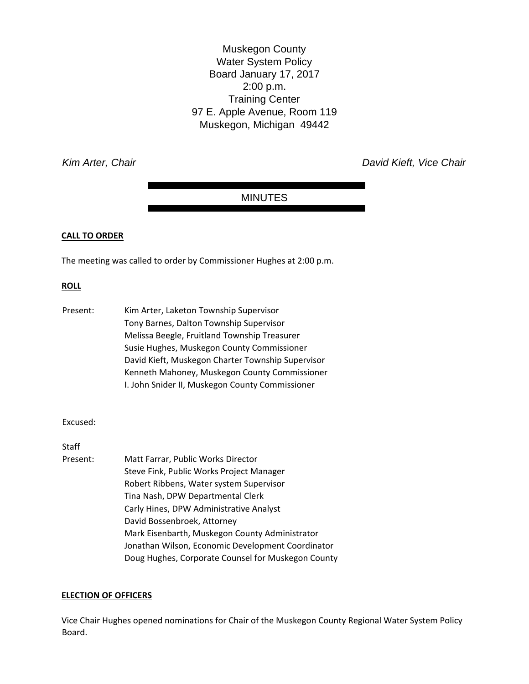Muskegon County Water System Policy Board January 17, 2017 2:00 p.m. Training Center 97 E. Apple Avenue, Room 119 Muskegon, Michigan 49442

*Kim Arter, Chair David Kieft, Vice Chair* 

### MINUTES

### **CALL TO ORDER**

The meeting was called to order by Commissioner Hughes at 2:00 p.m.

### **ROLL**

| Present: | Kim Arter, Laketon Township Supervisor            |
|----------|---------------------------------------------------|
|          | Tony Barnes, Dalton Township Supervisor           |
|          | Melissa Beegle, Fruitland Township Treasurer      |
|          | Susie Hughes, Muskegon County Commissioner        |
|          | David Kieft, Muskegon Charter Township Supervisor |
|          | Kenneth Mahoney, Muskegon County Commissioner     |
|          | I. John Snider II, Muskegon County Commissioner   |

### Excused:

Staff

Present: Matt Farrar, Public Works Director Steve Fink, Public Works Project Manager Robert Ribbens, Water system Supervisor Tina Nash, DPW Departmental Clerk Carly Hines, DPW Administrative Analyst David Bossenbroek, Attorney Mark Eisenbarth, Muskegon County Administrator Jonathan Wilson, Economic Development Coordinator Doug Hughes, Corporate Counsel for Muskegon County

### **ELECTION OF OFFICERS**

Vice Chair Hughes opened nominations for Chair of the Muskegon County Regional Water System Policy Board.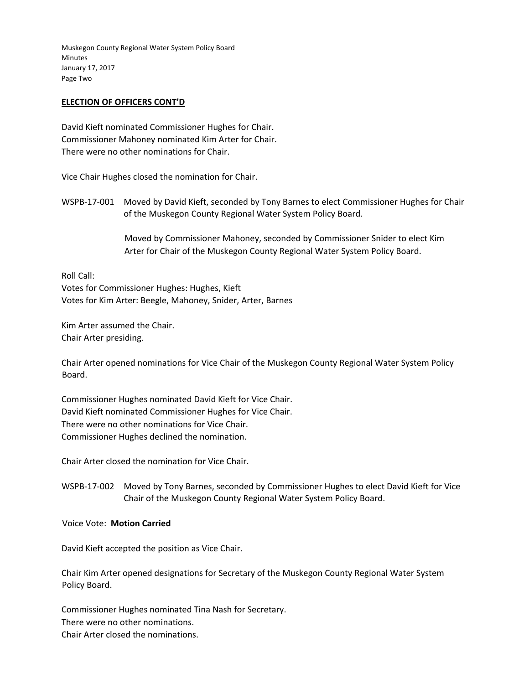### **ELECTION OF OFFICERS CONT'D**

David Kieft nominated Commissioner Hughes for Chair. Commissioner Mahoney nominated Kim Arter for Chair. There were no other nominations for Chair.

Vice Chair Hughes closed the nomination for Chair.

WSPB‐17‐001 Moved by David Kieft, seconded by Tony Barnes to elect Commissioner Hughes for Chair of the Muskegon County Regional Water System Policy Board.

> Moved by Commissioner Mahoney, seconded by Commissioner Snider to elect Kim Arter for Chair of the Muskegon County Regional Water System Policy Board.

Roll Call: Votes for Commissioner Hughes: Hughes, Kieft Votes for Kim Arter: Beegle, Mahoney, Snider, Arter, Barnes

Kim Arter assumed the Chair. Chair Arter presiding.

Chair Arter opened nominations for Vice Chair of the Muskegon County Regional Water System Policy Board.

Commissioner Hughes nominated David Kieft for Vice Chair. David Kieft nominated Commissioner Hughes for Vice Chair. There were no other nominations for Vice Chair. Commissioner Hughes declined the nomination.

Chair Arter closed the nomination for Vice Chair.

WSPB‐17‐002 Moved by Tony Barnes, seconded by Commissioner Hughes to elect David Kieft for Vice Chair of the Muskegon County Regional Water System Policy Board.

### Voice Vote: **Motion Carried**

David Kieft accepted the position as Vice Chair.

Chair Kim Arter opened designations for Secretary of the Muskegon County Regional Water System Policy Board.

Commissioner Hughes nominated Tina Nash for Secretary. There were no other nominations. Chair Arter closed the nominations.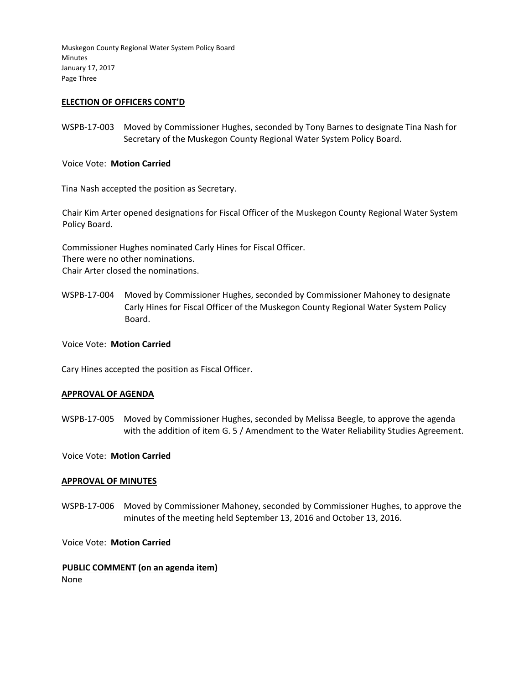Muskegon County Regional Water System Policy Board Minutes January 17, 2017 Page Three

### **ELECTION OF OFFICERS CONT'D**

WSPB‐17‐003 Moved by Commissioner Hughes, seconded by Tony Barnes to designate Tina Nash for Secretary of the Muskegon County Regional Water System Policy Board.

Voice Vote: **Motion Carried** 

Tina Nash accepted the position as Secretary.

Chair Kim Arter opened designations for Fiscal Officer of the Muskegon County Regional Water System Policy Board.

Commissioner Hughes nominated Carly Hines for Fiscal Officer. There were no other nominations. Chair Arter closed the nominations.

WSPB‐17‐004 Moved by Commissioner Hughes, seconded by Commissioner Mahoney to designate Carly Hines for Fiscal Officer of the Muskegon County Regional Water System Policy Board.

Voice Vote: **Motion Carried**

Cary Hines accepted the position as Fiscal Officer.

### **APPROVAL OF AGENDA**

WSPB‐17‐005 Moved by Commissioner Hughes, seconded by Melissa Beegle, to approve the agenda with the addition of item G. 5 / Amendment to the Water Reliability Studies Agreement.

Voice Vote: **Motion Carried**

#### **APPROVAL OF MINUTES**

WSPB‐17‐006 Moved by Commissioner Mahoney, seconded by Commissioner Hughes, to approve the minutes of the meeting held September 13, 2016 and October 13, 2016.

Voice Vote: **Motion Carried**

### **PUBLIC COMMENT (on an agenda item)**

None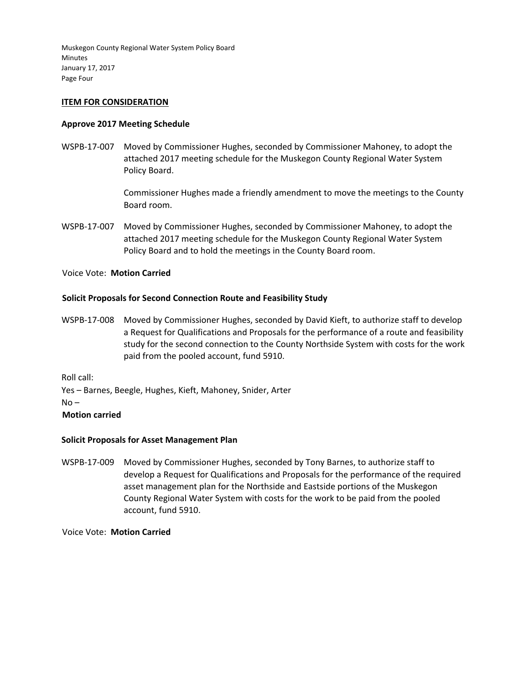Muskegon County Regional Water System Policy Board Minutes January 17, 2017 Page Four

### **ITEM FOR CONSIDERATION**

### **Approve 2017 Meeting Schedule**

WSPB‐17‐007 Moved by Commissioner Hughes, seconded by Commissioner Mahoney, to adopt the attached 2017 meeting schedule for the Muskegon County Regional Water System Policy Board.

> Commissioner Hughes made a friendly amendment to move the meetings to the County Board room.

WSPB‐17‐007 Moved by Commissioner Hughes, seconded by Commissioner Mahoney, to adopt the attached 2017 meeting schedule for the Muskegon County Regional Water System Policy Board and to hold the meetings in the County Board room.

### Voice Vote: **Motion Carried**

### **Solicit Proposals for Second Connection Route and Feasibility Study**

WSPB‐17‐008 Moved by Commissioner Hughes, seconded by David Kieft, to authorize staff to develop a Request for Qualifications and Proposals for the performance of a route and feasibility study for the second connection to the County Northside System with costs for the work paid from the pooled account, fund 5910.

Roll call:

Yes – Barnes, Beegle, Hughes, Kieft, Mahoney, Snider, Arter

 $No -$ 

### **Motion carried**

### **Solicit Proposals for Asset Management Plan**

WSPB‐17‐009 Moved by Commissioner Hughes, seconded by Tony Barnes, to authorize staff to develop a Request for Qualifications and Proposals for the performance of the required asset management plan for the Northside and Eastside portions of the Muskegon County Regional Water System with costs for the work to be paid from the pooled account, fund 5910.

Voice Vote: **Motion Carried**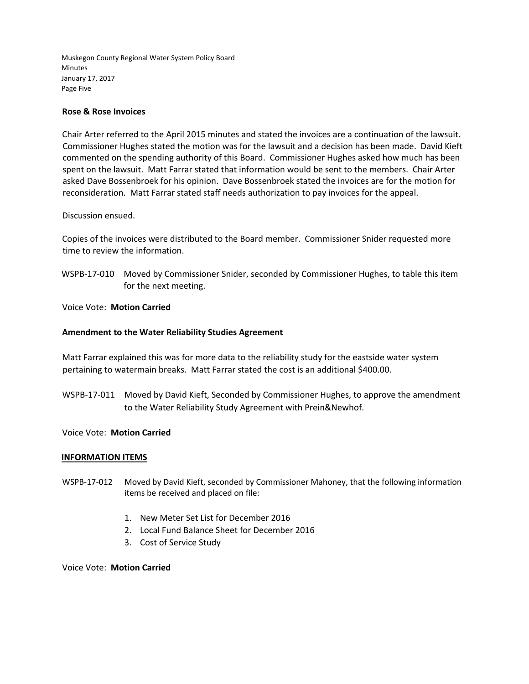Muskegon County Regional Water System Policy Board Minutes January 17, 2017 Page Five

### **Rose & Rose Invoices**

Chair Arter referred to the April 2015 minutes and stated the invoices are a continuation of the lawsuit. Commissioner Hughes stated the motion was for the lawsuit and a decision has been made. David Kieft commented on the spending authority of this Board. Commissioner Hughes asked how much has been spent on the lawsuit. Matt Farrar stated that information would be sent to the members. Chair Arter asked Dave Bossenbroek for his opinion. Dave Bossenbroek stated the invoices are for the motion for reconsideration. Matt Farrar stated staff needs authorization to pay invoices for the appeal.

### Discussion ensued.

Copies of the invoices were distributed to the Board member. Commissioner Snider requested more time to review the information.

WSPB‐17‐010 Moved by Commissioner Snider, seconded by Commissioner Hughes, to table this item for the next meeting.

Voice Vote: **Motion Carried**

### **Amendment to the Water Reliability Studies Agreement**

Matt Farrar explained this was for more data to the reliability study for the eastside water system pertaining to watermain breaks. Matt Farrar stated the cost is an additional \$400.00.

WSPB‐17‐011 Moved by David Kieft, Seconded by Commissioner Hughes, to approve the amendment to the Water Reliability Study Agreement with Prein&Newhof.

### Voice Vote: **Motion Carried**

### **INFORMATION ITEMS**

- WSPB‐17‐012 Moved by David Kieft, seconded by Commissioner Mahoney, that the following information items be received and placed on file:
	- 1. New Meter Set List for December 2016
	- 2. Local Fund Balance Sheet for December 2016
	- 3. Cost of Service Study

### Voice Vote: **Motion Carried**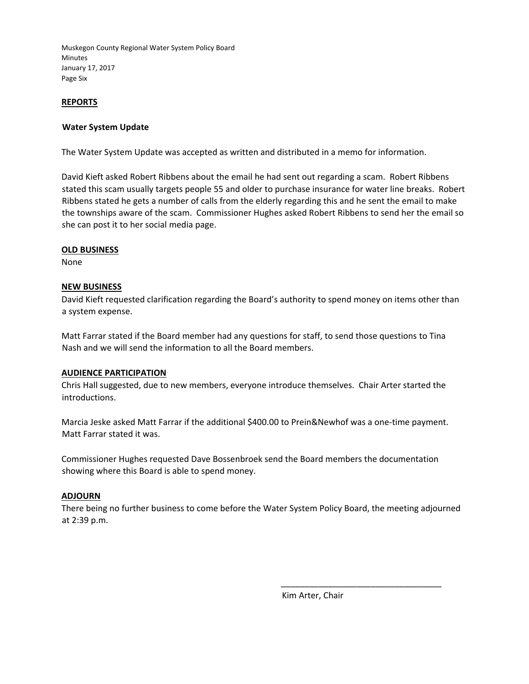### **REPORTS**

### **Water System Update**

The Water System Update was accepted as written and distributed in a memo for information.

David Kieft asked Robert Ribbens about the email he had sent out regarding a scam. Robert Ribbens stated this scam usually targets people 55 and older to purchase insurance for water line breaks. Robert Ribbens stated he gets a number of calls from the elderly regarding this and he sent the email to make the townships aware of the scam. Commissioner Hughes asked Robert Ribbens to send her the email so she can post it to her social media page.

### **OLD BUSINESS**

None

### **NEW BUSINESS**

David Kieft requested clarification regarding the Board's authority to spend money on items other than a system expense.

Matt Farrar stated if the Board member had any questions for staff, to send those questions to Tina Nash and we will send the information to all the Board members.

### **AUDIENCE PARTICIPATION**

Chris Hall suggested, due to new members, everyone introduce themselves. Chair Arter started the introductions.

Marcia Jeske asked Matt Farrar if the additional \$400.00 to Prein&Newhof was a one-time payment. Matt Farrar stated it was.

Commissioner Hughes requested Dave Bossenbroek send the Board members the documentation showing where this Board is able to spend money.

### **ADJOURN**

There being no further business to come before the Water System Policy Board, the meeting adjourned at 2:39 p.m.

Kim Arter, Chair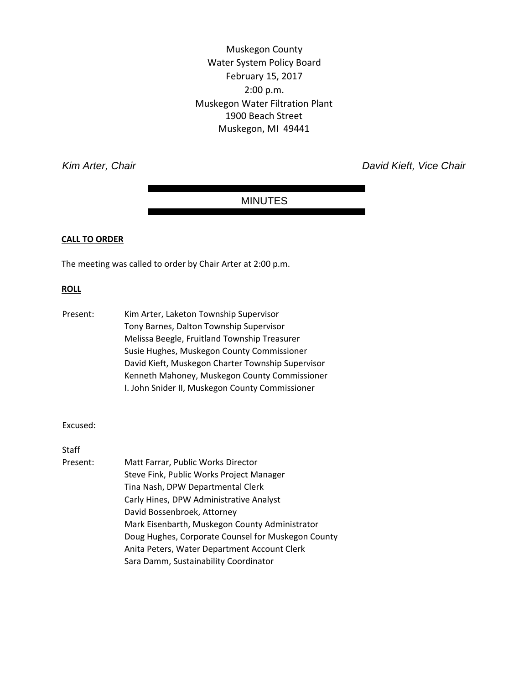Muskegon County Water System Policy Board February 15, 2017 2:00 p.m. Muskegon Water Filtration Plant 1900 Beach Street Muskegon, MI 49441

*Kim Arter, Chair David Kieft, Vice Chair* 

### MINUTES

#### **CALL TO ORDER**

The meeting was called to order by Chair Arter at 2:00 p.m.

### **ROLL**

Present: Kim Arter, Laketon Township Supervisor Tony Barnes, Dalton Township Supervisor Melissa Beegle, Fruitland Township Treasurer Susie Hughes, Muskegon County Commissioner David Kieft, Muskegon Charter Township Supervisor Kenneth Mahoney, Muskegon County Commissioner I. John Snider II, Muskegon County Commissioner

#### Excused:

**Staff** 

Present: Matt Farrar, Public Works Director Steve Fink, Public Works Project Manager Tina Nash, DPW Departmental Clerk Carly Hines, DPW Administrative Analyst David Bossenbroek, Attorney Mark Eisenbarth, Muskegon County Administrator Doug Hughes, Corporate Counsel for Muskegon County Anita Peters, Water Department Account Clerk Sara Damm, Sustainability Coordinator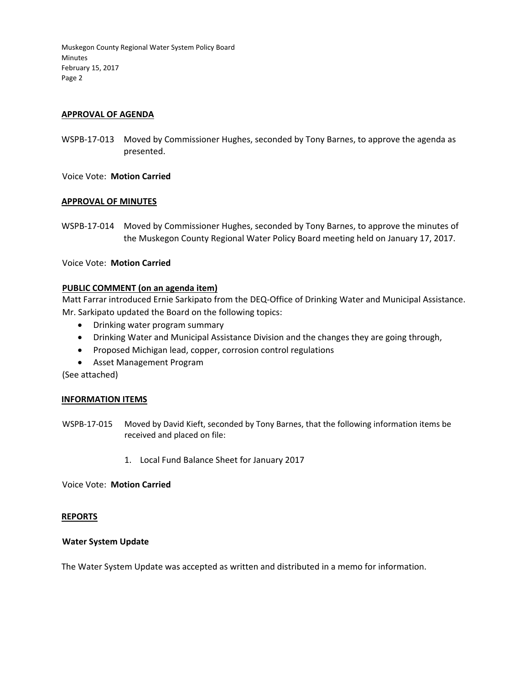### **APPROVAL OF AGENDA**

WSPB-17-013 Moved by Commissioner Hughes, seconded by Tony Barnes, to approve the agenda as presented.

Voice Vote: **Motion Carried**

### **APPROVAL OF MINUTES**

WSPB‐17‐014 Moved by Commissioner Hughes, seconded by Tony Barnes, to approve the minutes of the Muskegon County Regional Water Policy Board meeting held on January 17, 2017.

### Voice Vote: **Motion Carried**

### **PUBLIC COMMENT (on an agenda item)**

Matt Farrar introduced Ernie Sarkipato from the DEQ‐Office of Drinking Water and Municipal Assistance. Mr. Sarkipato updated the Board on the following topics:

- Drinking water program summary
- Drinking Water and Municipal Assistance Division and the changes they are going through,
- Proposed Michigan lead, copper, corrosion control regulations
- Asset Management Program

(See attached)

### **INFORMATION ITEMS**

- WSPB‐17‐015 Moved by David Kieft, seconded by Tony Barnes, that the following information items be received and placed on file:
	- 1. Local Fund Balance Sheet for January 2017

Voice Vote: **Motion Carried**

### **REPORTS**

### **Water System Update**

The Water System Update was accepted as written and distributed in a memo for information.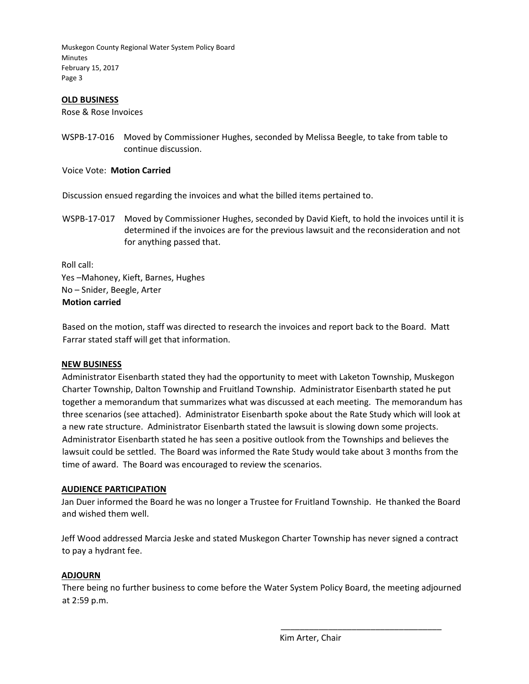### **OLD BUSINESS**

Rose & Rose Invoices

WSPB-17-016 Moved by Commissioner Hughes, seconded by Melissa Beegle, to take from table to continue discussion.

Voice Vote: **Motion Carried**

Discussion ensued regarding the invoices and what the billed items pertained to.

WSPB-17-017 Moved by Commissioner Hughes, seconded by David Kieft, to hold the invoices until it is determined if the invoices are for the previous lawsuit and the reconsideration and not for anything passed that.

Roll call: Yes –Mahoney, Kieft, Barnes, Hughes No – Snider, Beegle, Arter **Motion carried**

Based on the motion, staff was directed to research the invoices and report back to the Board. Matt Farrar stated staff will get that information.

### **NEW BUSINESS**

Administrator Eisenbarth stated they had the opportunity to meet with Laketon Township, Muskegon Charter Township, Dalton Township and Fruitland Township. Administrator Eisenbarth stated he put together a memorandum that summarizes what was discussed at each meeting. The memorandum has three scenarios (see attached). Administrator Eisenbarth spoke about the Rate Study which will look at a new rate structure. Administrator Eisenbarth stated the lawsuit is slowing down some projects. Administrator Eisenbarth stated he has seen a positive outlook from the Townships and believes the lawsuit could be settled. The Board was informed the Rate Study would take about 3 months from the time of award. The Board was encouraged to review the scenarios.

### **AUDIENCE PARTICIPATION**

Jan Duer informed the Board he was no longer a Trustee for Fruitland Township. He thanked the Board and wished them well.

Jeff Wood addressed Marcia Jeske and stated Muskegon Charter Township has never signed a contract to pay a hydrant fee.

### **ADJOURN**

There being no further business to come before the Water System Policy Board, the meeting adjourned at 2:59 p.m.

Kim Arter, Chair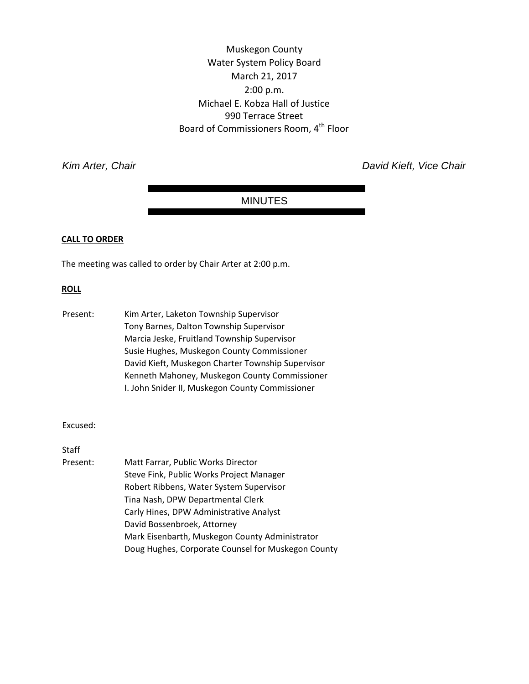Muskegon County Water System Policy Board March 21, 2017 2:00 p.m. Michael E. Kobza Hall of Justice 990 Terrace Street Board of Commissioners Room, 4<sup>th</sup> Floor

*Kim Arter, Chair David Kieft, Vice Chair* 

### MINUTES

### **CALL TO ORDER**

The meeting was called to order by Chair Arter at 2:00 p.m.

#### **ROLL**

Present: Kim Arter, Laketon Township Supervisor Tony Barnes, Dalton Township Supervisor Marcia Jeske, Fruitland Township Supervisor Susie Hughes, Muskegon County Commissioner David Kieft, Muskegon Charter Township Supervisor Kenneth Mahoney, Muskegon County Commissioner I. John Snider II, Muskegon County Commissioner

#### Excused:

**Staff** 

Present: Matt Farrar, Public Works Director Steve Fink, Public Works Project Manager Robert Ribbens, Water System Supervisor Tina Nash, DPW Departmental Clerk Carly Hines, DPW Administrative Analyst David Bossenbroek, Attorney Mark Eisenbarth, Muskegon County Administrator Doug Hughes, Corporate Counsel for Muskegon County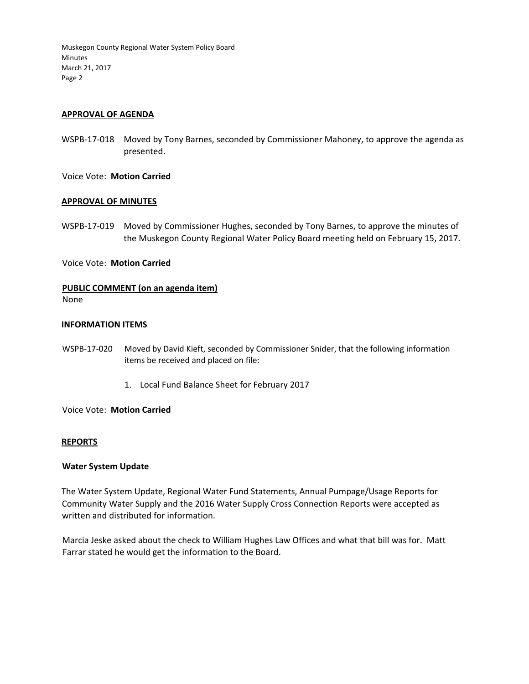### **APPROVAL OF AGENDA**

WSPB-17-018 Moved by Tony Barnes, seconded by Commissioner Mahoney, to approve the agenda as presented.

Voice Vote: **Motion Carried**

#### **APPROVAL OF MINUTES**

WSPB-17-019 Moved by Commissioner Hughes, seconded by Tony Barnes, to approve the minutes of the Muskegon County Regional Water Policy Board meeting held on February 15, 2017.

#### Voice Vote: **Motion Carried**

# **PUBLIC COMMENT (on an agenda item)**

### None

#### **INFORMATION ITEMS**

- WSPB‐17‐020 Moved by David Kieft, seconded by Commissioner Snider, that the following information items be received and placed on file:
	- 1. Local Fund Balance Sheet for February 2017

Voice Vote: **Motion Carried**

### **REPORTS**

#### **Water System Update**

The Water System Update, Regional Water Fund Statements, Annual Pumpage/Usage Reports for Community Water Supply and the 2016 Water Supply Cross Connection Reports were accepted as written and distributed for information.

Marcia Jeske asked about the check to William Hughes Law Offices and what that bill was for. Matt Farrar stated he would get the information to the Board.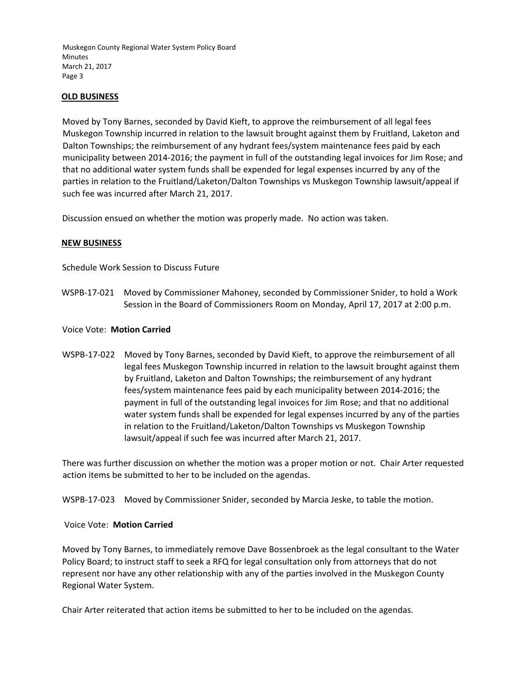### **OLD BUSINESS**

Moved by Tony Barnes, seconded by David Kieft, to approve the reimbursement of all legal fees Muskegon Township incurred in relation to the lawsuit brought against them by Fruitland, Laketon and Dalton Townships; the reimbursement of any hydrant fees/system maintenance fees paid by each municipality between 2014‐2016; the payment in full of the outstanding legal invoices for Jim Rose; and that no additional water system funds shall be expended for legal expenses incurred by any of the parties in relation to the Fruitland/Laketon/Dalton Townships vs Muskegon Township lawsuit/appeal if such fee was incurred after March 21, 2017.

Discussion ensued on whether the motion was properly made. No action was taken.

### **NEW BUSINESS**

Schedule Work Session to Discuss Future

WSPB‐17‐021 Moved by Commissioner Mahoney, seconded by Commissioner Snider, to hold a Work Session in the Board of Commissioners Room on Monday, April 17, 2017 at 2:00 p.m.

### Voice Vote: **Motion Carried**

WSPB‐17‐022 Moved by Tony Barnes, seconded by David Kieft, to approve the reimbursement of all legal fees Muskegon Township incurred in relation to the lawsuit brought against them by Fruitland, Laketon and Dalton Townships; the reimbursement of any hydrant fees/system maintenance fees paid by each municipality between 2014‐2016; the payment in full of the outstanding legal invoices for Jim Rose; and that no additional water system funds shall be expended for legal expenses incurred by any of the parties in relation to the Fruitland/Laketon/Dalton Townships vs Muskegon Township lawsuit/appeal if such fee was incurred after March 21, 2017.

There was further discussion on whether the motion was a proper motion or not. Chair Arter requested action items be submitted to her to be included on the agendas.

WSPB-17-023 Moved by Commissioner Snider, seconded by Marcia Jeske, to table the motion.

### Voice Vote: **Motion Carried**

Moved by Tony Barnes, to immediately remove Dave Bossenbroek as the legal consultant to the Water Policy Board; to instruct staff to seek a RFQ for legal consultation only from attorneys that do not represent nor have any other relationship with any of the parties involved in the Muskegon County Regional Water System.

Chair Arter reiterated that action items be submitted to her to be included on the agendas.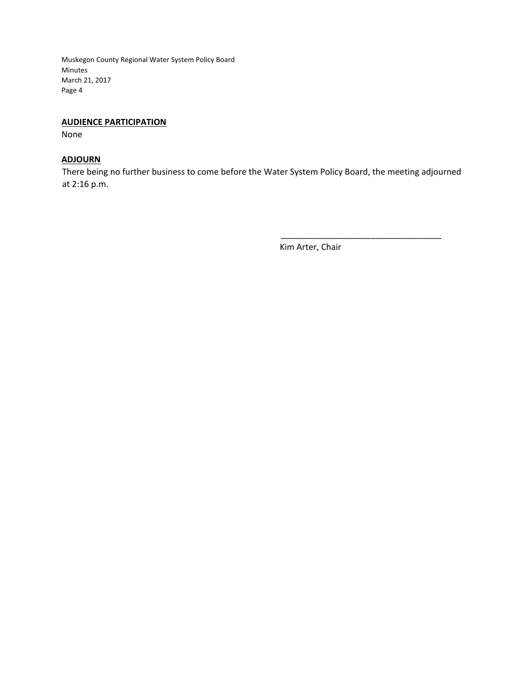### **AUDIENCE PARTICIPATION**

None

### **ADJOURN**

There being no further business to come before the Water System Policy Board, the meeting adjourned at 2:16 p.m.

Kim Arter, Chair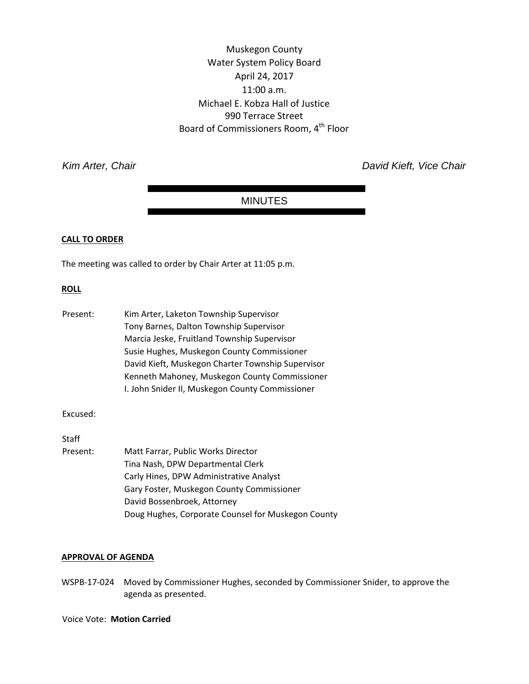Muskegon County Water System Policy Board April 24, 2017 11:00 a.m. Michael E. Kobza Hall of Justice 990 Terrace Street Board of Commissioners Room, 4<sup>th</sup> Floor

*Kim Arter, Chair David Kieft, Vice Chair* 

### MINUTES

### **CALL TO ORDER**

The meeting was called to order by Chair Arter at 11:05 p.m.

#### **ROLL**

| Present: | Kim Arter, Laketon Township Supervisor            |
|----------|---------------------------------------------------|
|          | Tony Barnes, Dalton Township Supervisor           |
|          | Marcia Jeske, Fruitland Township Supervisor       |
|          | Susie Hughes, Muskegon County Commissioner        |
|          | David Kieft, Muskegon Charter Township Supervisor |
|          | Kenneth Mahoney, Muskegon County Commissioner     |
|          | I. John Snider II, Muskegon County Commissioner   |

Excused:

Staff

Present: Matt Farrar, Public Works Director Tina Nash, DPW Departmental Clerk Carly Hines, DPW Administrative Analyst Gary Foster, Muskegon County Commissioner David Bossenbroek, Attorney Doug Hughes, Corporate Counsel for Muskegon County

### **APPROVAL OF AGENDA**

WSPB‐17‐024 Moved by Commissioner Hughes, seconded by Commissioner Snider, to approve the agenda as presented.

Voice Vote: **Motion Carried**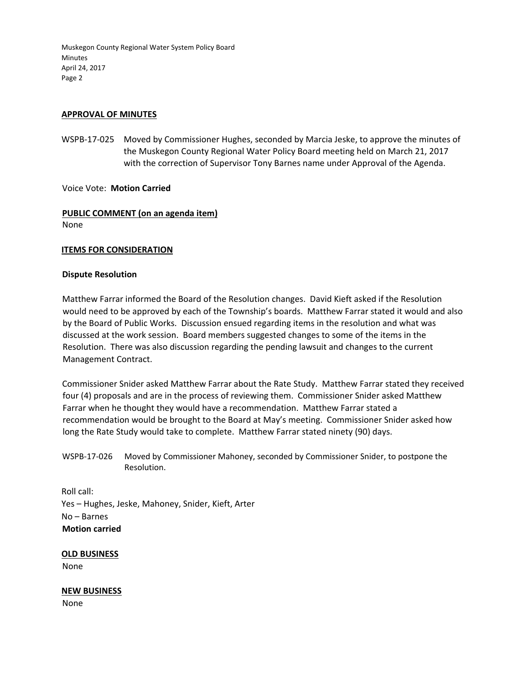### **APPROVAL OF MINUTES**

WSPB-17-025 Moved by Commissioner Hughes, seconded by Marcia Jeske, to approve the minutes of the Muskegon County Regional Water Policy Board meeting held on March 21, 2017 with the correction of Supervisor Tony Barnes name under Approval of the Agenda.

Voice Vote: **Motion Carried**

# **PUBLIC COMMENT (on an agenda item)**

None

### **ITEMS FOR CONSIDERATION**

### **Dispute Resolution**

Matthew Farrar informed the Board of the Resolution changes. David Kieft asked if the Resolution would need to be approved by each of the Township's boards. Matthew Farrar stated it would and also by the Board of Public Works. Discussion ensued regarding items in the resolution and what was discussed at the work session. Board members suggested changes to some of the items in the Resolution. There was also discussion regarding the pending lawsuit and changes to the current Management Contract.

Commissioner Snider asked Matthew Farrar about the Rate Study. Matthew Farrar stated they received four (4) proposals and are in the process of reviewing them. Commissioner Snider asked Matthew Farrar when he thought they would have a recommendation. Matthew Farrar stated a recommendation would be brought to the Board at May's meeting. Commissioner Snider asked how long the Rate Study would take to complete. Matthew Farrar stated ninety (90) days.

Roll call: Yes – Hughes, Jeske, Mahoney, Snider, Kieft, Arter No – Barnes **Motion carried**

### **OLD BUSINESS**

None

### **NEW BUSINESS**

None

WSPB‐17‐026 Moved by Commissioner Mahoney, seconded by Commissioner Snider, to postpone the Resolution.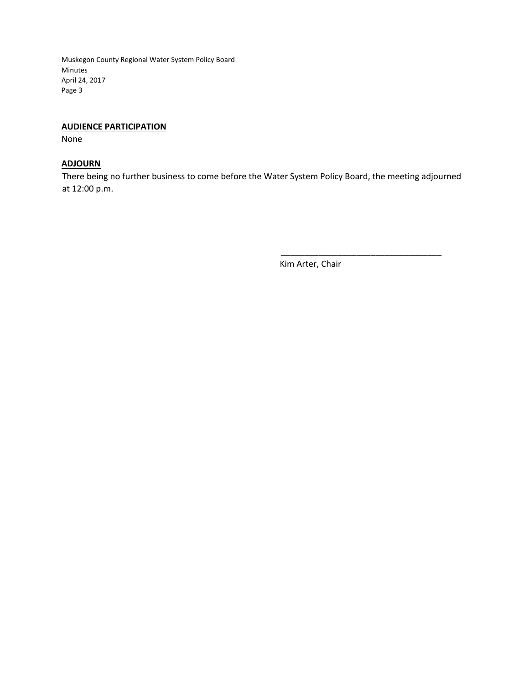### **AUDIENCE PARTICIPATION**

None

### **ADJOURN**

There being no further business to come before the Water System Policy Board, the meeting adjourned at 12:00 p.m.

Kim Arter, Chair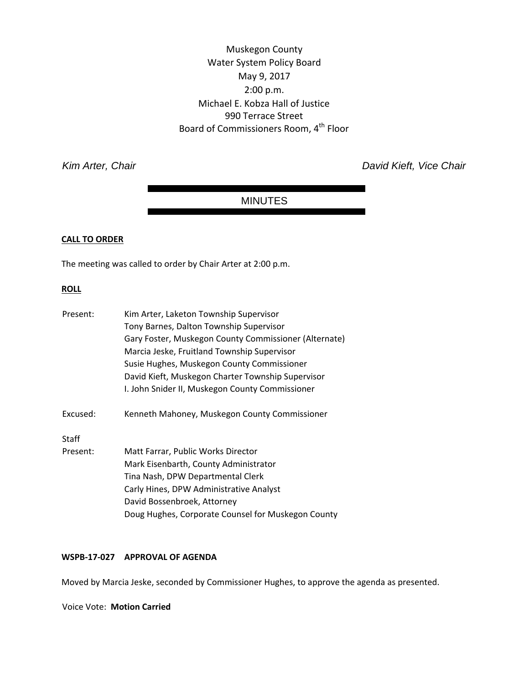Muskegon County Water System Policy Board May 9, 2017 2:00 p.m. Michael E. Kobza Hall of Justice 990 Terrace Street Board of Commissioners Room, 4<sup>th</sup> Floor

**Kim Arter, Chair** *Kim Arter, Chair Chair David Kieft, Vice Chair David Kieft, Vice Chair* 

### MINUTES

### **CALL TO ORDER**

The meeting was called to order by Chair Arter at 2:00 p.m.

### **ROLL**

| Present:     | Kim Arter, Laketon Township Supervisor                |
|--------------|-------------------------------------------------------|
|              | Tony Barnes, Dalton Township Supervisor               |
|              | Gary Foster, Muskegon County Commissioner (Alternate) |
|              | Marcia Jeske, Fruitland Township Supervisor           |
|              | Susie Hughes, Muskegon County Commissioner            |
|              | David Kieft, Muskegon Charter Township Supervisor     |
|              | I. John Snider II, Muskegon County Commissioner       |
| Excused:     | Kenneth Mahoney, Muskegon County Commissioner         |
| <b>Staff</b> |                                                       |
| Present:     | Matt Farrar, Public Works Director                    |
|              | Mark Eisenbarth, County Administrator                 |
|              | Tina Nash, DPW Departmental Clerk                     |
|              | Carly Hines, DPW Administrative Analyst               |
|              | David Bossenbroek, Attorney                           |
|              | Doug Hughes, Corporate Counsel for Muskegon County    |

### **WSPB‐17‐027 APPROVAL OF AGENDA**

Moved by Marcia Jeske, seconded by Commissioner Hughes, to approve the agenda as presented.

Voice Vote: **Motion Carried**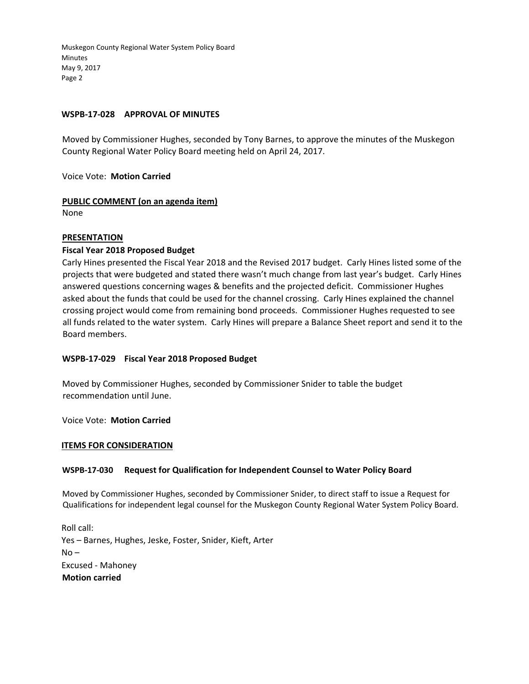### **WSPB‐17‐028 APPROVAL OF MINUTES**

Moved by Commissioner Hughes, seconded by Tony Barnes, to approve the minutes of the Muskegon County Regional Water Policy Board meeting held on April 24, 2017.

Voice Vote: **Motion Carried**

**PUBLIC COMMENT (on an agenda item)**  None

# **PRESENTATION**

## **Fiscal Year 2018 Proposed Budget**

Carly Hines presented the Fiscal Year 2018 and the Revised 2017 budget. Carly Hines listed some of the projects that were budgeted and stated there wasn't much change from last year's budget. Carly Hines answered questions concerning wages & benefits and the projected deficit. Commissioner Hughes asked about the funds that could be used for the channel crossing. Carly Hines explained the channel crossing project would come from remaining bond proceeds. Commissioner Hughes requested to see all funds related to the water system. Carly Hines will prepare a Balance Sheet report and send it to the Board members.

### **WSPB‐17‐029 Fiscal Year 2018 Proposed Budget**

Moved by Commissioner Hughes, seconded by Commissioner Snider to table the budget recommendation until June.

Voice Vote: **Motion Carried**

### **ITEMS FOR CONSIDERATION**

### **WSPB‐17‐030 Request for Qualification for Independent Counsel to Water Policy Board**

Moved by Commissioner Hughes, seconded by Commissioner Snider, to direct staff to issue a Request for Qualifications for independent legal counsel for the Muskegon County Regional Water System Policy Board.

Roll call: Yes – Barnes, Hughes, Jeske, Foster, Snider, Kieft, Arter  $No -$ Excused ‐ Mahoney **Motion carried**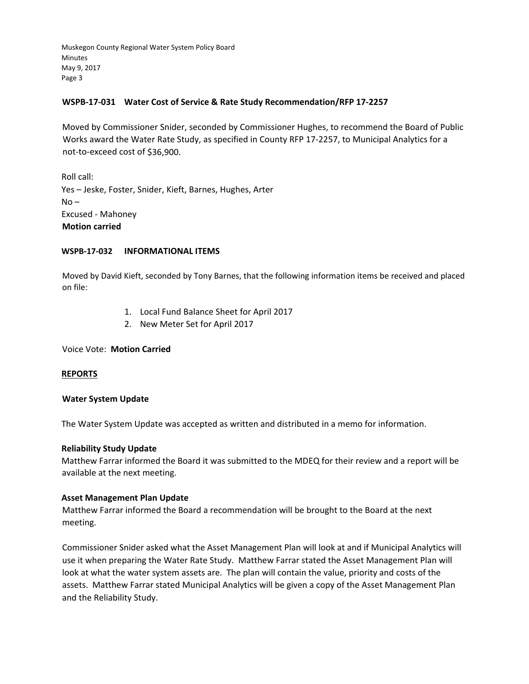### **WSPB‐17‐031 Water Cost of Service & Rate Study Recommendation/RFP 17‐2257**

Moved by Commissioner Snider, seconded by Commissioner Hughes, to recommend the Board of Public Works award the Water Rate Study, as specified in County RFP 17‐2257, to Municipal Analytics for a not‐to‐exceed cost of \$36,900.

Roll call: Yes – Jeske, Foster, Snider, Kieft, Barnes, Hughes, Arter  $No -$ Excused ‐ Mahoney **Motion carried**

### **WSPB‐17‐032 INFORMATIONAL ITEMS**

Moved by David Kieft, seconded by Tony Barnes, that the following information items be received and placed on file:

- 1. Local Fund Balance Sheet for April 2017
- 2. New Meter Set for April 2017

Voice Vote: **Motion Carried**

### **REPORTS**

### **Water System Update**

The Water System Update was accepted as written and distributed in a memo for information.

### **Reliability Study Update**

Matthew Farrar informed the Board it was submitted to the MDEQ for their review and a report will be available at the next meeting.

### **Asset Management Plan Update**

Matthew Farrar informed the Board a recommendation will be brought to the Board at the next meeting.

Commissioner Snider asked what the Asset Management Plan will look at and if Municipal Analytics will use it when preparing the Water Rate Study. Matthew Farrar stated the Asset Management Plan will look at what the water system assets are. The plan will contain the value, priority and costs of the assets. Matthew Farrar stated Municipal Analytics will be given a copy of the Asset Management Plan and the Reliability Study.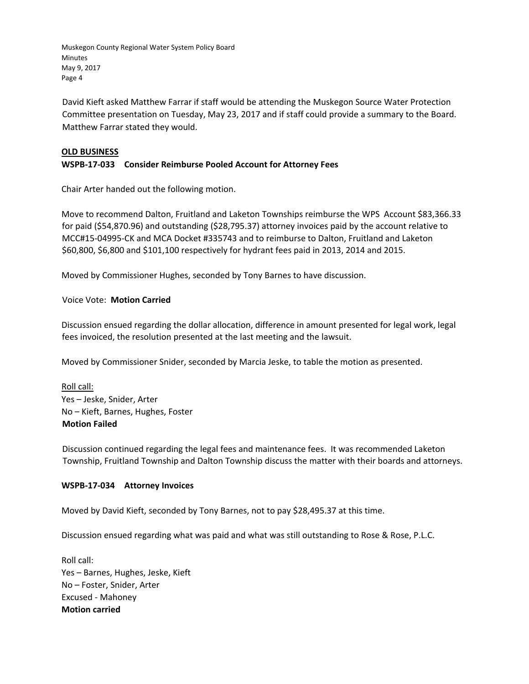David Kieft asked Matthew Farrar if staff would be attending the Muskegon Source Water Protection Committee presentation on Tuesday, May 23, 2017 and if staff could provide a summary to the Board. Matthew Farrar stated they would.

### **OLD BUSINESS**

### **WSPB‐17‐033 Consider Reimburse Pooled Account for Attorney Fees**

Chair Arter handed out the following motion.

Move to recommend Dalton, Fruitland and Laketon Townships reimburse the WPS Account \$83,366.33 for paid (\$54,870.96) and outstanding (\$28,795.37) attorney invoices paid by the account relative to MCC#15‐04995‐CK and MCA Docket #335743 and to reimburse to Dalton, Fruitland and Laketon \$60,800, \$6,800 and \$101,100 respectively for hydrant fees paid in 2013, 2014 and 2015.

Moved by Commissioner Hughes, seconded by Tony Barnes to have discussion.

### Voice Vote: **Motion Carried**

Discussion ensued regarding the dollar allocation, difference in amount presented for legal work, legal fees invoiced, the resolution presented at the last meeting and the lawsuit.

Moved by Commissioner Snider, seconded by Marcia Jeske, to table the motion as presented.

Roll call: Yes – Jeske, Snider, Arter No – Kieft, Barnes, Hughes, Foster **Motion Failed**

Discussion continued regarding the legal fees and maintenance fees. It was recommended Laketon Township, Fruitland Township and Dalton Township discuss the matter with their boards and attorneys.

### **WSPB‐17‐034 Attorney Invoices**

Moved by David Kieft, seconded by Tony Barnes, not to pay \$28,495.37 at this time.

Discussion ensued regarding what was paid and what was still outstanding to Rose & Rose, P.L.C.

Roll call: Yes – Barnes, Hughes, Jeske, Kieft No – Foster, Snider, Arter Excused ‐ Mahoney **Motion carried**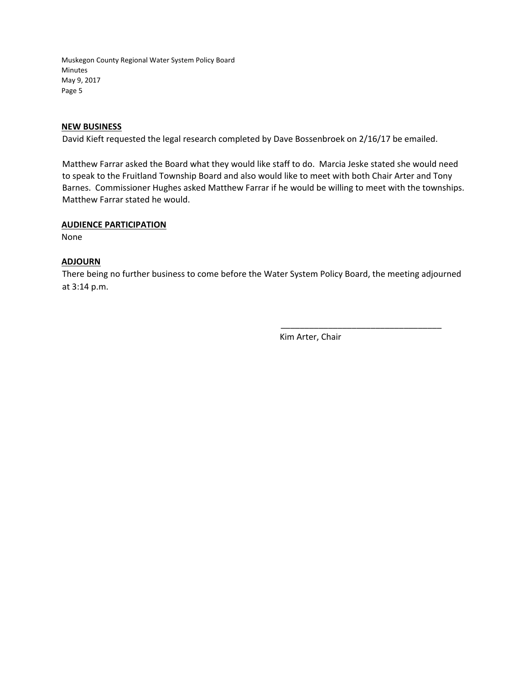### **NEW BUSINESS**

David Kieft requested the legal research completed by Dave Bossenbroek on 2/16/17 be emailed.

Matthew Farrar asked the Board what they would like staff to do. Marcia Jeske stated she would need to speak to the Fruitland Township Board and also would like to meet with both Chair Arter and Tony Barnes. Commissioner Hughes asked Matthew Farrar if he would be willing to meet with the townships. Matthew Farrar stated he would.

### **AUDIENCE PARTICIPATION**

None

### **ADJOURN**

There being no further business to come before the Water System Policy Board, the meeting adjourned at 3:14 p.m.

Kim Arter, Chair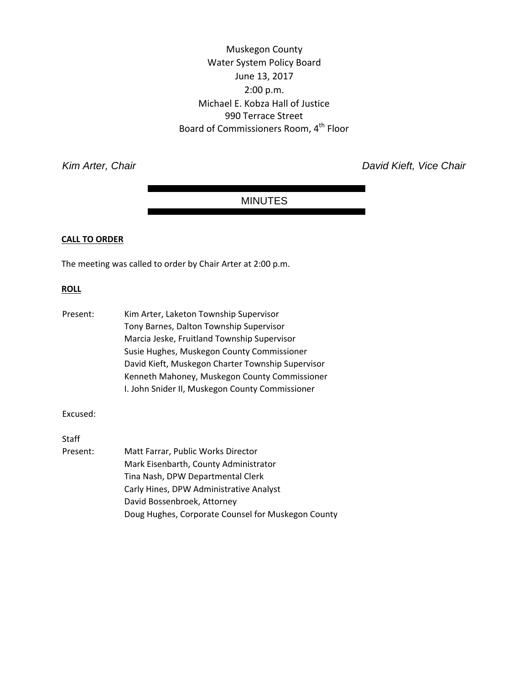Muskegon County Water System Policy Board June 13, 2017 2:00 p.m. Michael E. Kobza Hall of Justice 990 Terrace Street Board of Commissioners Room, 4<sup>th</sup> Floor

*Kim Arter, Chair David Kieft, Vice Chair* 

### MINUTES

### **CALL TO ORDER**

The meeting was called to order by Chair Arter at 2:00 p.m.

#### **ROLL**

| Present: | Kim Arter, Laketon Township Supervisor            |
|----------|---------------------------------------------------|
|          | Tony Barnes, Dalton Township Supervisor           |
|          | Marcia Jeske, Fruitland Township Supervisor       |
|          | Susie Hughes, Muskegon County Commissioner        |
|          | David Kieft, Muskegon Charter Township Supervisor |
|          | Kenneth Mahoney, Muskegon County Commissioner     |
|          | I. John Snider II, Muskegon County Commissioner   |

Excused:

Staff

Present: Matt Farrar, Public Works Director Mark Eisenbarth, County Administrator Tina Nash, DPW Departmental Clerk Carly Hines, DPW Administrative Analyst David Bossenbroek, Attorney Doug Hughes, Corporate Counsel for Muskegon County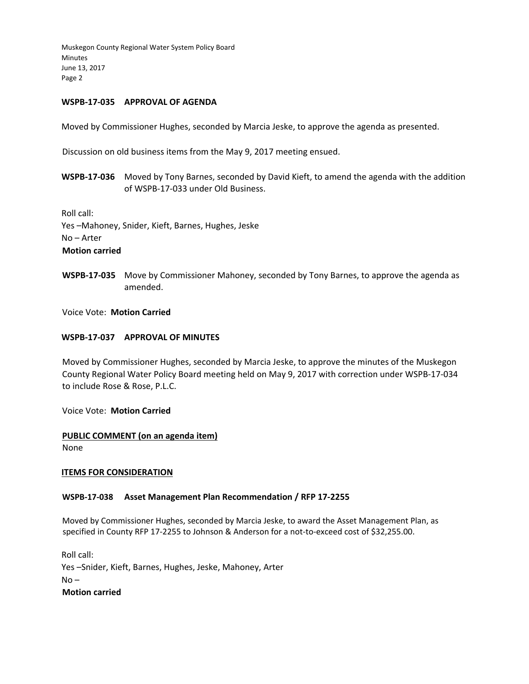### **WSPB‐17‐035 APPROVAL OF AGENDA**

Moved by Commissioner Hughes, seconded by Marcia Jeske, to approve the agenda as presented.

Discussion on old business items from the May 9, 2017 meeting ensued.

**WSPB‐17‐036** Moved by Tony Barnes, seconded by David Kieft, to amend the agenda with the addition of WSPB‐17‐033 under Old Business.

Roll call: Yes –Mahoney, Snider, Kieft, Barnes, Hughes, Jeske No – Arter **Motion carried**

**WSPB‐17‐035** Move by Commissioner Mahoney, seconded by Tony Barnes, to approve the agenda as amended.

Voice Vote: **Motion Carried**

### **WSPB‐17‐037 APPROVAL OF MINUTES**

Moved by Commissioner Hughes, seconded by Marcia Jeske, to approve the minutes of the Muskegon County Regional Water Policy Board meeting held on May 9, 2017 with correction under WSPB‐17‐034 to include Rose & Rose, P.L.C.

Voice Vote: **Motion Carried**

### **PUBLIC COMMENT (on an agenda item)**  None

### **ITEMS FOR CONSIDERATION**

### **WSPB‐17‐038 Asset Management Plan Recommendation / RFP 17‐2255**

Moved by Commissioner Hughes, seconded by Marcia Jeske, to award the Asset Management Plan, as specified in County RFP 17-2255 to Johnson & Anderson for a not-to-exceed cost of \$32,255.00.

Roll call: Yes –Snider, Kieft, Barnes, Hughes, Jeske, Mahoney, Arter  $No -$ **Motion carried**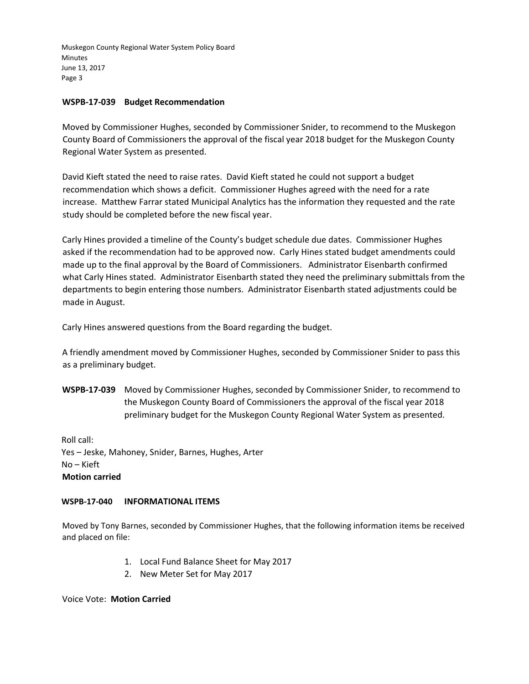### **WSPB‐17‐039 Budget Recommendation**

Moved by Commissioner Hughes, seconded by Commissioner Snider, to recommend to the Muskegon County Board of Commissioners the approval of the fiscal year 2018 budget for the Muskegon County Regional Water System as presented.

David Kieft stated the need to raise rates. David Kieft stated he could not support a budget recommendation which shows a deficit. Commissioner Hughes agreed with the need for a rate increase. Matthew Farrar stated Municipal Analytics has the information they requested and the rate study should be completed before the new fiscal year.

Carly Hines provided a timeline of the County's budget schedule due dates. Commissioner Hughes asked if the recommendation had to be approved now. Carly Hines stated budget amendments could made up to the final approval by the Board of Commissioners. Administrator Eisenbarth confirmed what Carly Hines stated. Administrator Eisenbarth stated they need the preliminary submittals from the departments to begin entering those numbers. Administrator Eisenbarth stated adjustments could be made in August.

Carly Hines answered questions from the Board regarding the budget.

A friendly amendment moved by Commissioner Hughes, seconded by Commissioner Snider to pass this as a preliminary budget.

**WSPB‐17‐039** Moved by Commissioner Hughes, seconded by Commissioner Snider, to recommend to the Muskegon County Board of Commissioners the approval of the fiscal year 2018 preliminary budget for the Muskegon County Regional Water System as presented.

Roll call: Yes – Jeske, Mahoney, Snider, Barnes, Hughes, Arter No – Kieft **Motion carried**

### **WSPB‐17‐040 INFORMATIONAL ITEMS**

Moved by Tony Barnes, seconded by Commissioner Hughes, that the following information items be received and placed on file:

- 1. Local Fund Balance Sheet for May 2017
- 2. New Meter Set for May 2017

Voice Vote: **Motion Carried**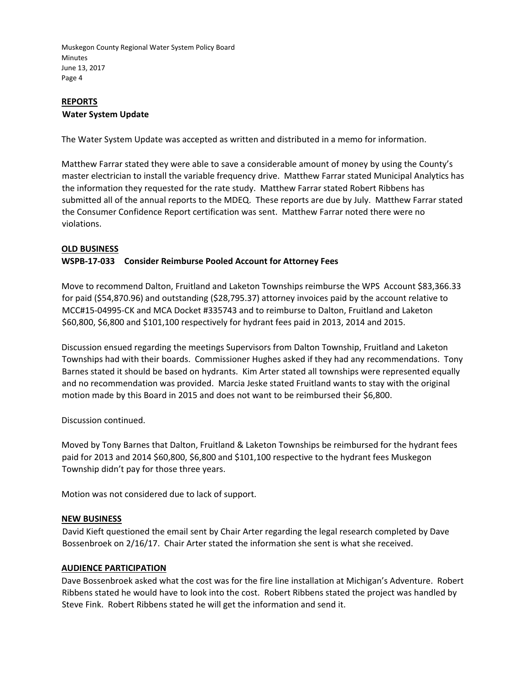### **REPORTS Water System Update**

The Water System Update was accepted as written and distributed in a memo for information.

Matthew Farrar stated they were able to save a considerable amount of money by using the County's master electrician to install the variable frequency drive. Matthew Farrar stated Municipal Analytics has the information they requested for the rate study. Matthew Farrar stated Robert Ribbens has submitted all of the annual reports to the MDEQ. These reports are due by July. Matthew Farrar stated the Consumer Confidence Report certification was sent. Matthew Farrar noted there were no violations.

### **OLD BUSINESS**

### **WSPB‐17‐033 Consider Reimburse Pooled Account for Attorney Fees**

Move to recommend Dalton, Fruitland and Laketon Townships reimburse the WPS Account \$83,366.33 for paid (\$54,870.96) and outstanding (\$28,795.37) attorney invoices paid by the account relative to MCC#15‐04995‐CK and MCA Docket #335743 and to reimburse to Dalton, Fruitland and Laketon \$60,800, \$6,800 and \$101,100 respectively for hydrant fees paid in 2013, 2014 and 2015.

Discussion ensued regarding the meetings Supervisors from Dalton Township, Fruitland and Laketon Townships had with their boards. Commissioner Hughes asked if they had any recommendations. Tony Barnes stated it should be based on hydrants. Kim Arter stated all townships were represented equally and no recommendation was provided. Marcia Jeske stated Fruitland wants to stay with the original motion made by this Board in 2015 and does not want to be reimbursed their \$6,800.

Discussion continued.

Moved by Tony Barnes that Dalton, Fruitland & Laketon Townships be reimbursed for the hydrant fees paid for 2013 and 2014 \$60,800, \$6,800 and \$101,100 respective to the hydrant fees Muskegon Township didn't pay for those three years.

Motion was not considered due to lack of support.

### **NEW BUSINESS**

David Kieft questioned the email sent by Chair Arter regarding the legal research completed by Dave Bossenbroek on 2/16/17. Chair Arter stated the information she sent is what she received.

### **AUDIENCE PARTICIPATION**

Dave Bossenbroek asked what the cost was for the fire line installation at Michigan's Adventure. Robert Ribbens stated he would have to look into the cost. Robert Ribbens stated the project was handled by Steve Fink. Robert Ribbens stated he will get the information and send it.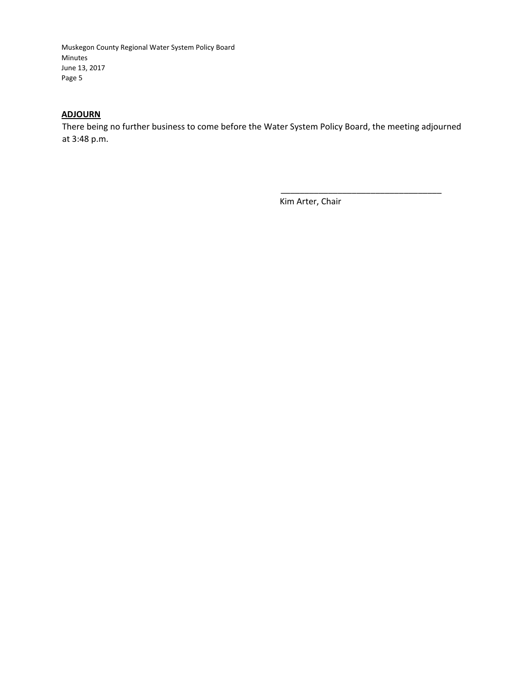### **ADJOURN**

There being no further business to come before the Water System Policy Board, the meeting adjourned at 3:48 p.m.

Kim Arter, Chair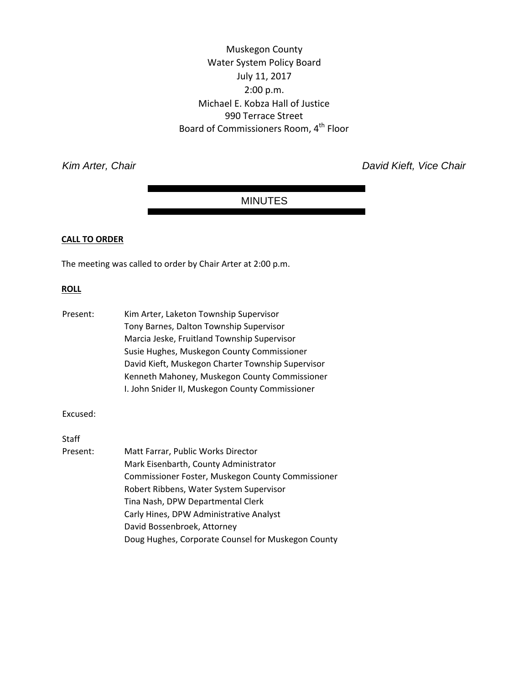Muskegon County Water System Policy Board July 11, 2017 2:00 p.m. Michael E. Kobza Hall of Justice 990 Terrace Street Board of Commissioners Room, 4<sup>th</sup> Floor

*Kim Arter, Chair David Kieft, Vice Chair* 

### MINUTES

### **CALL TO ORDER**

The meeting was called to order by Chair Arter at 2:00 p.m.

#### **ROLL**

| Present: | Kim Arter, Laketon Township Supervisor            |
|----------|---------------------------------------------------|
|          | Tony Barnes, Dalton Township Supervisor           |
|          | Marcia Jeske, Fruitland Township Supervisor       |
|          | Susie Hughes, Muskegon County Commissioner        |
|          | David Kieft, Muskegon Charter Township Supervisor |
|          | Kenneth Mahoney, Muskegon County Commissioner     |
|          | I. John Snider II, Muskegon County Commissioner   |

Excused:

Staff

Present: Matt Farrar, Public Works Director Mark Eisenbarth, County Administrator Commissioner Foster, Muskegon County Commissioner Robert Ribbens, Water System Supervisor Tina Nash, DPW Departmental Clerk Carly Hines, DPW Administrative Analyst David Bossenbroek, Attorney Doug Hughes, Corporate Counsel for Muskegon County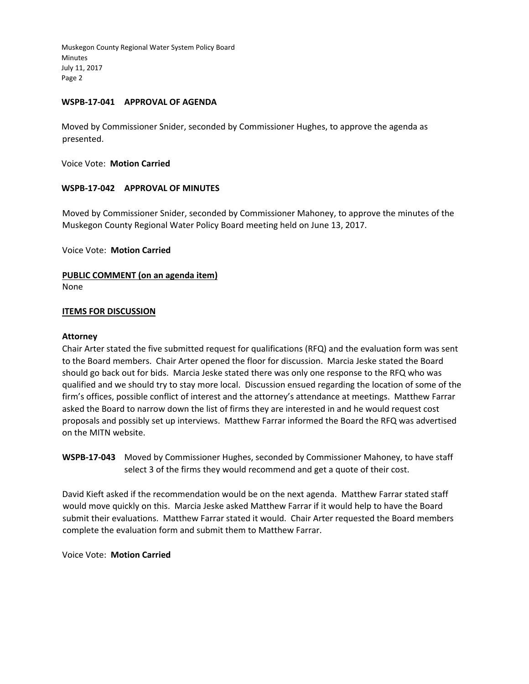### **WSPB‐17‐041 APPROVAL OF AGENDA**

Moved by Commissioner Snider, seconded by Commissioner Hughes, to approve the agenda as presented.

Voice Vote: **Motion Carried**

### **WSPB‐17‐042 APPROVAL OF MINUTES**

Moved by Commissioner Snider, seconded by Commissioner Mahoney, to approve the minutes of the Muskegon County Regional Water Policy Board meeting held on June 13, 2017.

Voice Vote: **Motion Carried**

# **PUBLIC COMMENT (on an agenda item)**

None

### **ITEMS FOR DISCUSSION**

### **Attorney**

Chair Arter stated the five submitted request for qualifications (RFQ) and the evaluation form was sent to the Board members. Chair Arter opened the floor for discussion. Marcia Jeske stated the Board should go back out for bids. Marcia Jeske stated there was only one response to the RFQ who was qualified and we should try to stay more local. Discussion ensued regarding the location of some of the firm's offices, possible conflict of interest and the attorney's attendance at meetings. Matthew Farrar asked the Board to narrow down the list of firms they are interested in and he would request cost proposals and possibly set up interviews. Matthew Farrar informed the Board the RFQ was advertised on the MITN website.

**WSPB‐17‐043** Moved by Commissioner Hughes, seconded by Commissioner Mahoney, to have staff select 3 of the firms they would recommend and get a quote of their cost.

David Kieft asked if the recommendation would be on the next agenda. Matthew Farrar stated staff would move quickly on this. Marcia Jeske asked Matthew Farrar if it would help to have the Board submit their evaluations. Matthew Farrar stated it would. Chair Arter requested the Board members complete the evaluation form and submit them to Matthew Farrar.

Voice Vote: **Motion Carried**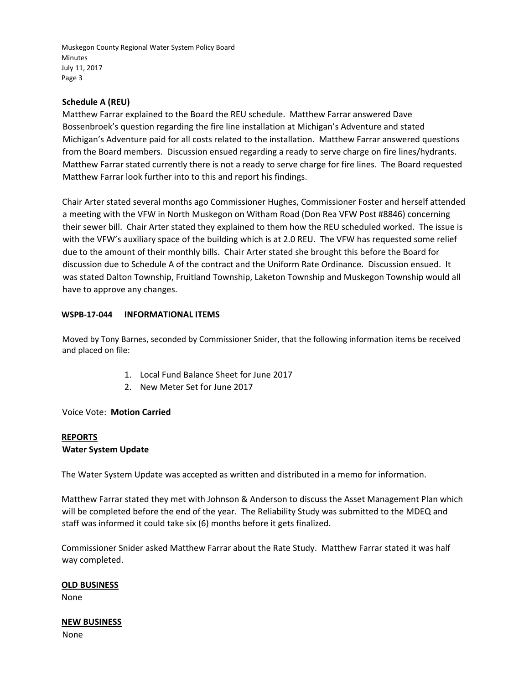### **Schedule A (REU)**

Matthew Farrar explained to the Board the REU schedule. Matthew Farrar answered Dave Bossenbroek's question regarding the fire line installation at Michigan's Adventure and stated Michigan's Adventure paid for all costs related to the installation. Matthew Farrar answered questions from the Board members. Discussion ensued regarding a ready to serve charge on fire lines/hydrants. Matthew Farrar stated currently there is not a ready to serve charge for fire lines. The Board requested Matthew Farrar look further into to this and report his findings.

Chair Arter stated several months ago Commissioner Hughes, Commissioner Foster and herself attended a meeting with the VFW in North Muskegon on Witham Road (Don Rea VFW Post #8846) concerning their sewer bill. Chair Arter stated they explained to them how the REU scheduled worked. The issue is with the VFW's auxiliary space of the building which is at 2.0 REU. The VFW has requested some relief due to the amount of their monthly bills. Chair Arter stated she brought this before the Board for discussion due to Schedule A of the contract and the Uniform Rate Ordinance. Discussion ensued. It was stated Dalton Township, Fruitland Township, Laketon Township and Muskegon Township would all have to approve any changes.

### **WSPB‐17‐044 INFORMATIONAL ITEMS**

Moved by Tony Barnes, seconded by Commissioner Snider, that the following information items be received and placed on file:

- 1. Local Fund Balance Sheet for June 2017
- 2. New Meter Set for June 2017

Voice Vote: **Motion Carried**

### **REPORTS Water System Update**

The Water System Update was accepted as written and distributed in a memo for information.

Matthew Farrar stated they met with Johnson & Anderson to discuss the Asset Management Plan which will be completed before the end of the year. The Reliability Study was submitted to the MDEQ and staff was informed it could take six (6) months before it gets finalized.

Commissioner Snider asked Matthew Farrar about the Rate Study. Matthew Farrar stated it was half way completed.

### **OLD BUSINESS**

None

### **NEW BUSINESS**

None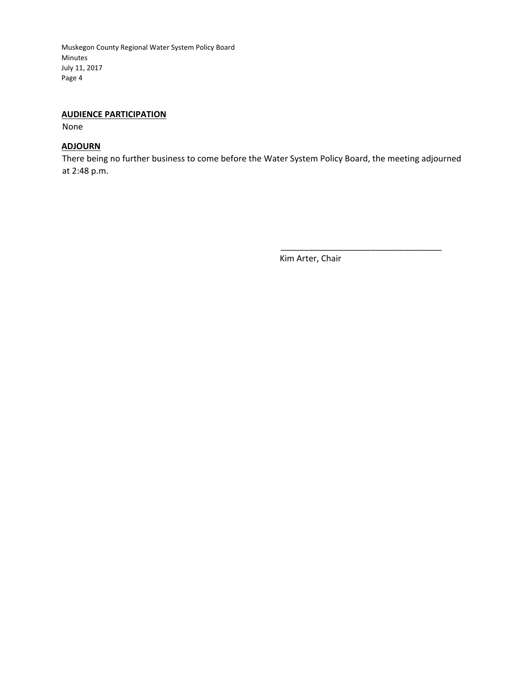### **AUDIENCE PARTICIPATION**

None

### **ADJOURN**

There being no further business to come before the Water System Policy Board, the meeting adjourned at 2:48 p.m.

Kim Arter, Chair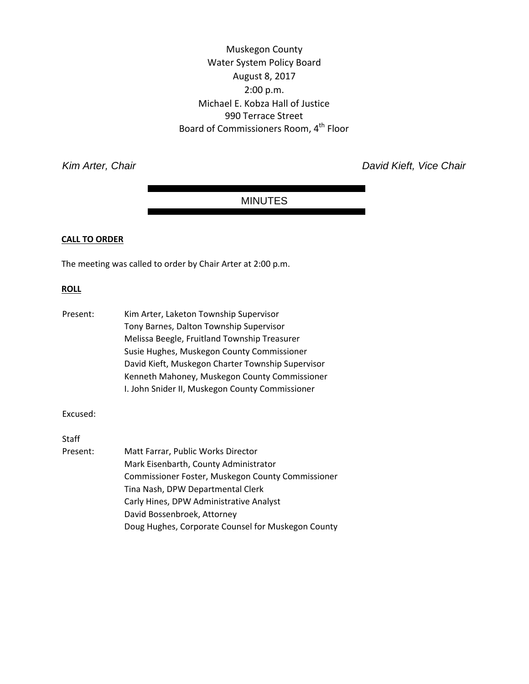Muskegon County Water System Policy Board August 8, 2017 2:00 p.m. Michael E. Kobza Hall of Justice 990 Terrace Street Board of Commissioners Room, 4<sup>th</sup> Floor

*Kim Arter, Chair David Kieft, Vice Chair* 

### MINUTES

### **CALL TO ORDER**

The meeting was called to order by Chair Arter at 2:00 p.m.

#### **ROLL**

| Present: | Kim Arter, Laketon Township Supervisor            |
|----------|---------------------------------------------------|
|          | Tony Barnes, Dalton Township Supervisor           |
|          | Melissa Beegle, Fruitland Township Treasurer      |
|          | Susie Hughes, Muskegon County Commissioner        |
|          | David Kieft, Muskegon Charter Township Supervisor |
|          | Kenneth Mahoney, Muskegon County Commissioner     |
|          | I. John Snider II, Muskegon County Commissioner   |

Excused:

Staff

Present: Matt Farrar, Public Works Director Mark Eisenbarth, County Administrator Commissioner Foster, Muskegon County Commissioner Tina Nash, DPW Departmental Clerk Carly Hines, DPW Administrative Analyst David Bossenbroek, Attorney Doug Hughes, Corporate Counsel for Muskegon County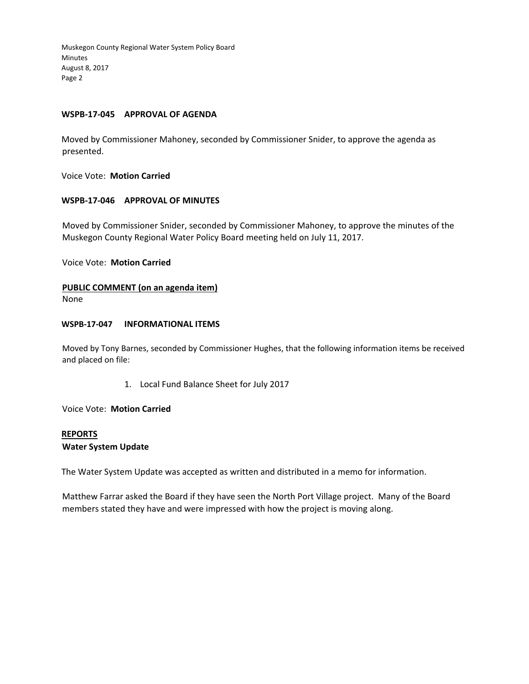### **WSPB‐17‐045 APPROVAL OF AGENDA**

Moved by Commissioner Mahoney, seconded by Commissioner Snider, to approve the agenda as presented.

Voice Vote: **Motion Carried**

### **WSPB‐17‐046 APPROVAL OF MINUTES**

Moved by Commissioner Snider, seconded by Commissioner Mahoney, to approve the minutes of the Muskegon County Regional Water Policy Board meeting held on July 11, 2017.

Voice Vote: **Motion Carried**

### **PUBLIC COMMENT (on an agenda item)**

None

### **WSPB‐17‐047 INFORMATIONAL ITEMS**

Moved by Tony Barnes, seconded by Commissioner Hughes, that the following information items be received and placed on file:

1. Local Fund Balance Sheet for July 2017

Voice Vote: **Motion Carried**

### **REPORTS Water System Update**

The Water System Update was accepted as written and distributed in a memo for information.

Matthew Farrar asked the Board if they have seen the North Port Village project. Many of the Board members stated they have and were impressed with how the project is moving along.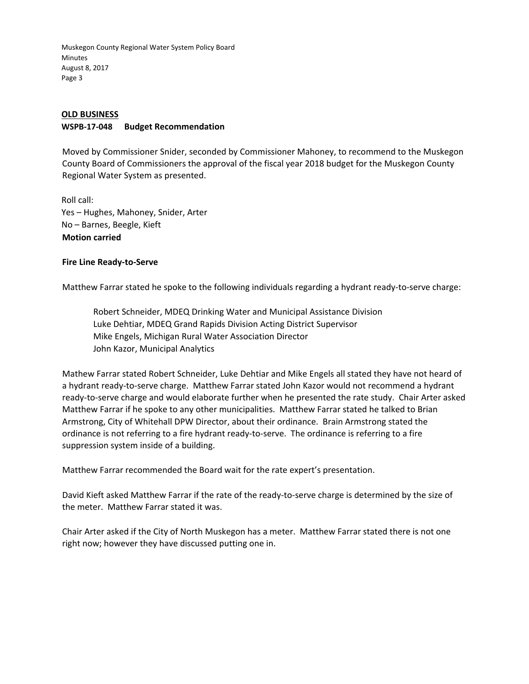### **OLD BUSINESS**

### **WSPB‐17‐048 Budget Recommendation**

Moved by Commissioner Snider, seconded by Commissioner Mahoney, to recommend to the Muskegon County Board of Commissioners the approval of the fiscal year 2018 budget for the Muskegon County Regional Water System as presented.

Roll call: Yes – Hughes, Mahoney, Snider, Arter No – Barnes, Beegle, Kieft **Motion carried**

### **Fire Line Ready‐to‐Serve**

Matthew Farrar stated he spoke to the following individuals regarding a hydrant ready‐to‐serve charge:

Robert Schneider, MDEQ Drinking Water and Municipal Assistance Division Luke Dehtiar, MDEQ Grand Rapids Division Acting District Supervisor Mike Engels, Michigan Rural Water Association Director John Kazor, Municipal Analytics

Mathew Farrar stated Robert Schneider, Luke Dehtiar and Mike Engels all stated they have not heard of a hydrant ready‐to‐serve charge. Matthew Farrar stated John Kazor would not recommend a hydrant ready‐to‐serve charge and would elaborate further when he presented the rate study. Chair Arter asked Matthew Farrar if he spoke to any other municipalities. Matthew Farrar stated he talked to Brian Armstrong, City of Whitehall DPW Director, about their ordinance. Brain Armstrong stated the ordinance is not referring to a fire hydrant ready‐to‐serve. The ordinance is referring to a fire suppression system inside of a building.

Matthew Farrar recommended the Board wait for the rate expert's presentation.

David Kieft asked Matthew Farrar if the rate of the ready‐to‐serve charge is determined by the size of the meter. Matthew Farrar stated it was.

Chair Arter asked if the City of North Muskegon has a meter. Matthew Farrar stated there is not one right now; however they have discussed putting one in.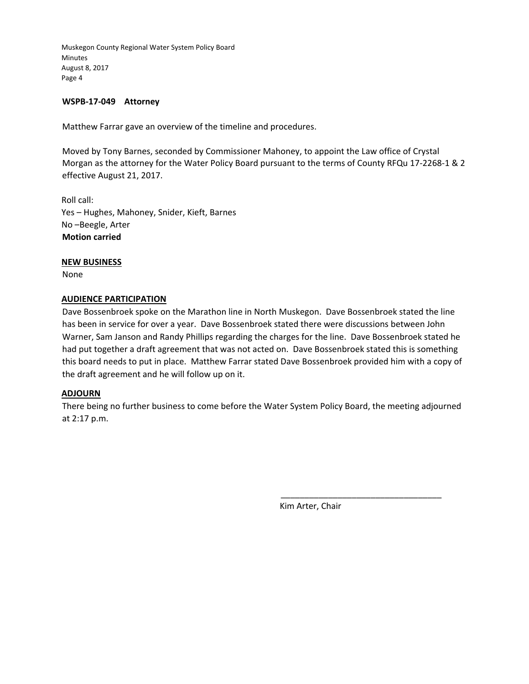### **WSPB‐17‐049 Attorney**

Matthew Farrar gave an overview of the timeline and procedures.

Moved by Tony Barnes, seconded by Commissioner Mahoney, to appoint the Law office of Crystal Morgan as the attorney for the Water Policy Board pursuant to the terms of County RFQu 17‐2268‐1 & 2 effective August 21, 2017.

Roll call: Yes – Hughes, Mahoney, Snider, Kieft, Barnes No –Beegle, Arter **Motion carried**

### **NEW BUSINESS**

None

### **AUDIENCE PARTICIPATION**

Dave Bossenbroek spoke on the Marathon line in North Muskegon. Dave Bossenbroek stated the line has been in service for over a year. Dave Bossenbroek stated there were discussions between John Warner, Sam Janson and Randy Phillips regarding the charges for the line. Dave Bossenbroek stated he had put together a draft agreement that was not acted on. Dave Bossenbroek stated this is something this board needs to put in place. Matthew Farrar stated Dave Bossenbroek provided him with a copy of the draft agreement and he will follow up on it.

### **ADJOURN**

There being no further business to come before the Water System Policy Board, the meeting adjourned at 2:17 p.m.

Kim Arter, Chair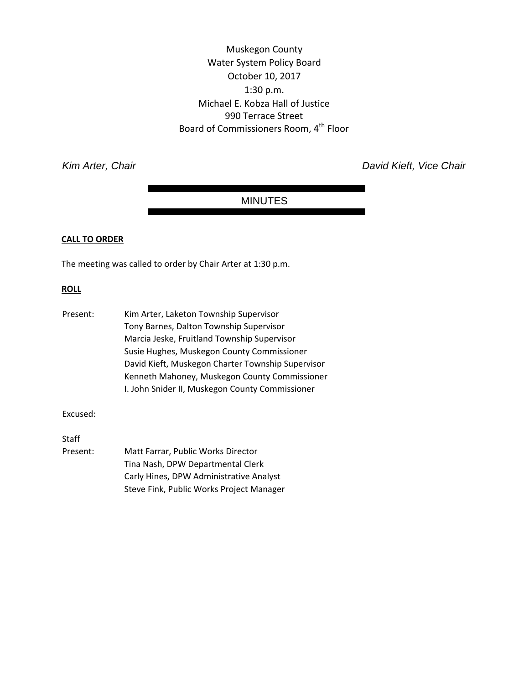Muskegon County Water System Policy Board October 10, 2017 1:30 p.m. Michael E. Kobza Hall of Justice 990 Terrace Street Board of Commissioners Room, 4<sup>th</sup> Floor

**Kim Arter, Chair** *Kim Arter, Chair Chair David Kieft, Vice Chair David Kieft, Vice Chair* 

### MINUTES

### **CALL TO ORDER**

The meeting was called to order by Chair Arter at 1:30 p.m.

#### **ROLL**

| Present: | Kim Arter, Laketon Township Supervisor            |
|----------|---------------------------------------------------|
|          | Tony Barnes, Dalton Township Supervisor           |
|          | Marcia Jeske, Fruitland Township Supervisor       |
|          | Susie Hughes, Muskegon County Commissioner        |
|          | David Kieft, Muskegon Charter Township Supervisor |
|          | Kenneth Mahoney, Muskegon County Commissioner     |
|          | I. John Snider II, Muskegon County Commissioner   |

Excused:

Staff

Present: Matt Farrar, Public Works Director Tina Nash, DPW Departmental Clerk Carly Hines, DPW Administrative Analyst Steve Fink, Public Works Project Manager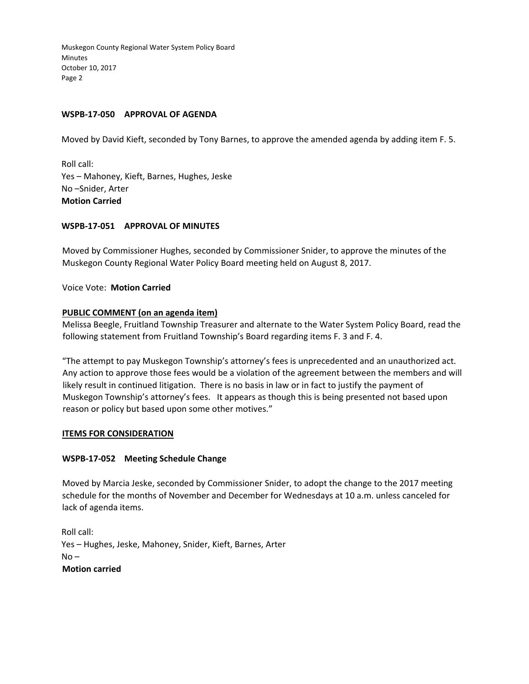### **WSPB‐17‐050 APPROVAL OF AGENDA**

Moved by David Kieft, seconded by Tony Barnes, to approve the amended agenda by adding item F. 5.

Roll call: Yes – Mahoney, Kieft, Barnes, Hughes, Jeske No –Snider, Arter **Motion Carried**

### **WSPB‐17‐051 APPROVAL OF MINUTES**

Moved by Commissioner Hughes, seconded by Commissioner Snider, to approve the minutes of the Muskegon County Regional Water Policy Board meeting held on August 8, 2017.

Voice Vote: **Motion Carried**

### **PUBLIC COMMENT (on an agenda item)**

Melissa Beegle, Fruitland Township Treasurer and alternate to the Water System Policy Board, read the following statement from Fruitland Township's Board regarding items F. 3 and F. 4.

"The attempt to pay Muskegon Township's attorney's fees is unprecedented and an unauthorized act. Any action to approve those fees would be a violation of the agreement between the members and will likely result in continued litigation. There is no basis in law or in fact to justify the payment of Muskegon Township's attorney's fees. It appears as though this is being presented not based upon reason or policy but based upon some other motives."

### **ITEMS FOR CONSIDERATION**

### **WSPB‐17‐052 Meeting Schedule Change**

Moved by Marcia Jeske, seconded by Commissioner Snider, to adopt the change to the 2017 meeting schedule for the months of November and December for Wednesdays at 10 a.m. unless canceled for lack of agenda items.

Roll call: Yes – Hughes, Jeske, Mahoney, Snider, Kieft, Barnes, Arter  $No -$ **Motion carried**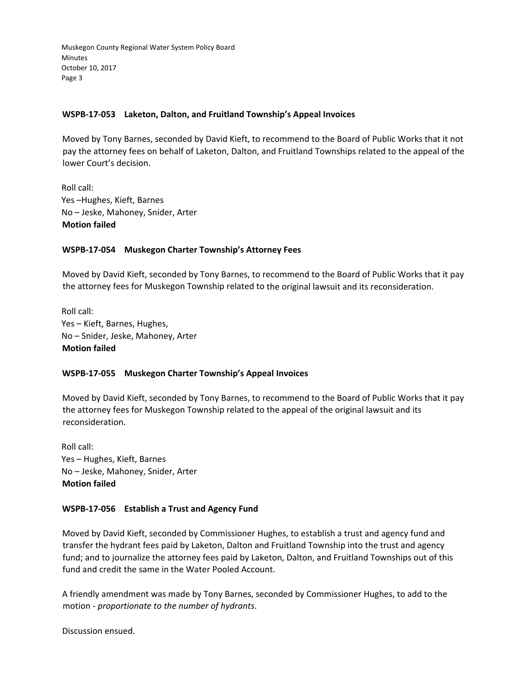### **WSPB‐17‐053 Laketon, Dalton, and Fruitland Township's Appeal Invoices**

Moved by Tony Barnes, seconded by David Kieft, to recommend to the Board of Public Works that it not pay the attorney fees on behalf of Laketon, Dalton, and Fruitland Townships related to the appeal of the lower Court's decision.

Roll call: Yes –Hughes, Kieft, Barnes No – Jeske, Mahoney, Snider, Arter **Motion failed**

### **WSPB‐17‐054 Muskegon Charter Township's Attorney Fees**

Moved by David Kieft, seconded by Tony Barnes, to recommend to the Board of Public Works that it pay the attorney fees for Muskegon Township related to the original lawsuit and its reconsideration.

Roll call: Yes – Kieft, Barnes, Hughes, No – Snider, Jeske, Mahoney, Arter **Motion failed**

### **WSPB‐17‐055 Muskegon Charter Township's Appeal Invoices**

Moved by David Kieft, seconded by Tony Barnes, to recommend to the Board of Public Works that it pay the attorney fees for Muskegon Township related to the appeal of the original lawsuit and its reconsideration.

Roll call: Yes – Hughes, Kieft, Barnes No – Jeske, Mahoney, Snider, Arter **Motion failed**

### **WSPB‐17‐056 Establish a Trust and Agency Fund**

Moved by David Kieft, seconded by Commissioner Hughes, to establish a trust and agency fund and transfer the hydrant fees paid by Laketon, Dalton and Fruitland Township into the trust and agency fund; and to journalize the attorney fees paid by Laketon, Dalton, and Fruitland Townships out of this fund and credit the same in the Water Pooled Account.

A friendly amendment was made by Tony Barnes, seconded by Commissioner Hughes, to add to the motion ‐ *proportionate to the number of hydrants*.

Discussion ensued.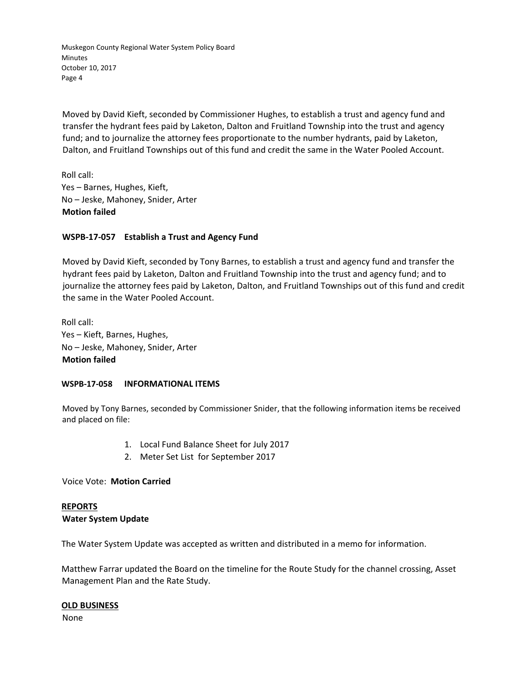Moved by David Kieft, seconded by Commissioner Hughes, to establish a trust and agency fund and transfer the hydrant fees paid by Laketon, Dalton and Fruitland Township into the trust and agency fund; and to journalize the attorney fees proportionate to the number hydrants, paid by Laketon, Dalton, and Fruitland Townships out of this fund and credit the same in the Water Pooled Account.

Roll call: Yes – Barnes, Hughes, Kieft, No – Jeske, Mahoney, Snider, Arter **Motion failed**

### **WSPB‐17‐057 Establish a Trust and Agency Fund**

Moved by David Kieft, seconded by Tony Barnes, to establish a trust and agency fund and transfer the hydrant fees paid by Laketon, Dalton and Fruitland Township into the trust and agency fund; and to journalize the attorney fees paid by Laketon, Dalton, and Fruitland Townships out of this fund and credit the same in the Water Pooled Account.

Roll call: Yes – Kieft, Barnes, Hughes, No – Jeske, Mahoney, Snider, Arter **Motion failed**

### **WSPB‐17‐058 INFORMATIONAL ITEMS**

Moved by Tony Barnes, seconded by Commissioner Snider, that the following information items be received and placed on file:

- 1. Local Fund Balance Sheet for July 2017
- 2. Meter Set List for September 2017

### Voice Vote: **Motion Carried**

# **REPORTS**

### **Water System Update**

The Water System Update was accepted as written and distributed in a memo for information.

Matthew Farrar updated the Board on the timeline for the Route Study for the channel crossing, Asset Management Plan and the Rate Study.

### **OLD BUSINESS**

None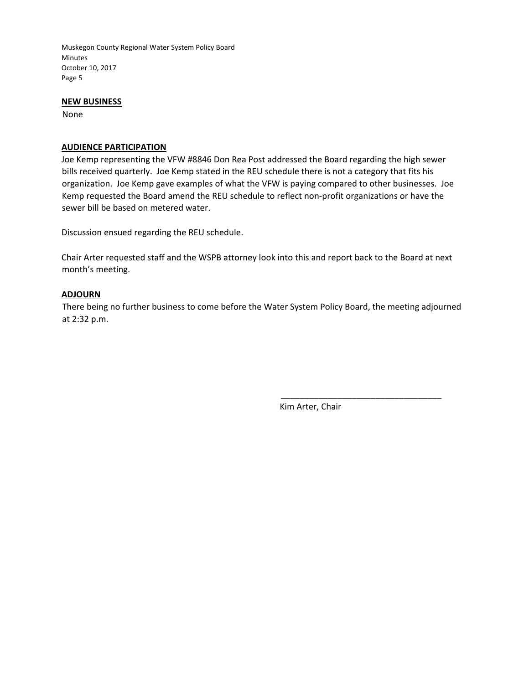### **NEW BUSINESS**

None

### **AUDIENCE PARTICIPATION**

Joe Kemp representing the VFW #8846 Don Rea Post addressed the Board regarding the high sewer bills received quarterly. Joe Kemp stated in the REU schedule there is not a category that fits his organization. Joe Kemp gave examples of what the VFW is paying compared to other businesses. Joe Kemp requested the Board amend the REU schedule to reflect non-profit organizations or have the sewer bill be based on metered water.

Discussion ensued regarding the REU schedule.

Chair Arter requested staff and the WSPB attorney look into this and report back to the Board at next month's meeting.

### **ADJOURN**

There being no further business to come before the Water System Policy Board, the meeting adjourned at 2:32 p.m.

Kim Arter, Chair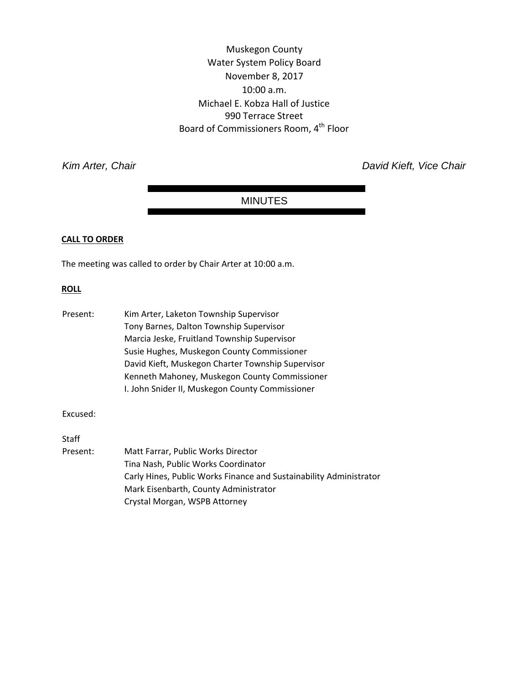Muskegon County Water System Policy Board November 8, 2017 10:00 a.m. Michael E. Kobza Hall of Justice 990 Terrace Street Board of Commissioners Room, 4<sup>th</sup> Floor

*Kim Arter, Chair David Kieft, Vice Chair* 

### MINUTES

#### **CALL TO ORDER**

The meeting was called to order by Chair Arter at 10:00 a.m.

### **ROLL**

| Present: | Kim Arter, Laketon Township Supervisor            |
|----------|---------------------------------------------------|
|          | Tony Barnes, Dalton Township Supervisor           |
|          | Marcia Jeske, Fruitland Township Supervisor       |
|          | Susie Hughes, Muskegon County Commissioner        |
|          | David Kieft, Muskegon Charter Township Supervisor |
|          | Kenneth Mahoney, Muskegon County Commissioner     |
|          | I. John Snider II, Muskegon County Commissioner   |

Excused:

Staff

Present: Matt Farrar, Public Works Director Tina Nash, Public Works Coordinator Carly Hines, Public Works Finance and Sustainability Administrator Mark Eisenbarth, County Administrator Crystal Morgan, WSPB Attorney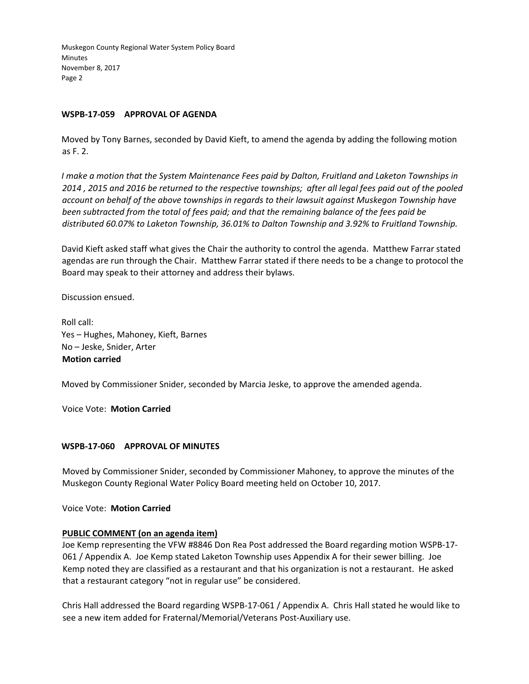### **WSPB‐17‐059 APPROVAL OF AGENDA**

Moved by Tony Barnes, seconded by David Kieft, to amend the agenda by adding the following motion as F. 2.

*I make a motion that the System Maintenance Fees paid by Dalton, Fruitland and Laketon Townships in* 2014, 2015 and 2016 be returned to the respective townships; after all legal fees paid out of the pooled *account on behalf of the above townships in regards to their lawsuit against Muskegon Township have been subtracted from the total of fees paid; and that the remaining balance of the fees paid be distributed 60.07% to Laketon Township, 36.01% to Dalton Township and 3.92% to Fruitland Township.*

David Kieft asked staff what gives the Chair the authority to control the agenda. Matthew Farrar stated agendas are run through the Chair. Matthew Farrar stated if there needs to be a change to protocol the Board may speak to their attorney and address their bylaws.

Discussion ensued.

Roll call: Yes – Hughes, Mahoney, Kieft, Barnes No – Jeske, Snider, Arter **Motion carried**

Moved by Commissioner Snider, seconded by Marcia Jeske, to approve the amended agenda.

Voice Vote: **Motion Carried**

### **WSPB‐17‐060 APPROVAL OF MINUTES**

Moved by Commissioner Snider, seconded by Commissioner Mahoney, to approve the minutes of the Muskegon County Regional Water Policy Board meeting held on October 10, 2017.

Voice Vote: **Motion Carried**

### **PUBLIC COMMENT (on an agenda item)**

Joe Kemp representing the VFW #8846 Don Rea Post addressed the Board regarding motion WSPB‐17‐ 061 / Appendix A. Joe Kemp stated Laketon Township uses Appendix A for their sewer billing. Joe Kemp noted they are classified as a restaurant and that his organization is not a restaurant. He asked that a restaurant category "not in regular use" be considered.

Chris Hall addressed the Board regarding WSPB‐17‐061 / Appendix A. Chris Hall stated he would like to see a new item added for Fraternal/Memorial/Veterans Post-Auxiliary use.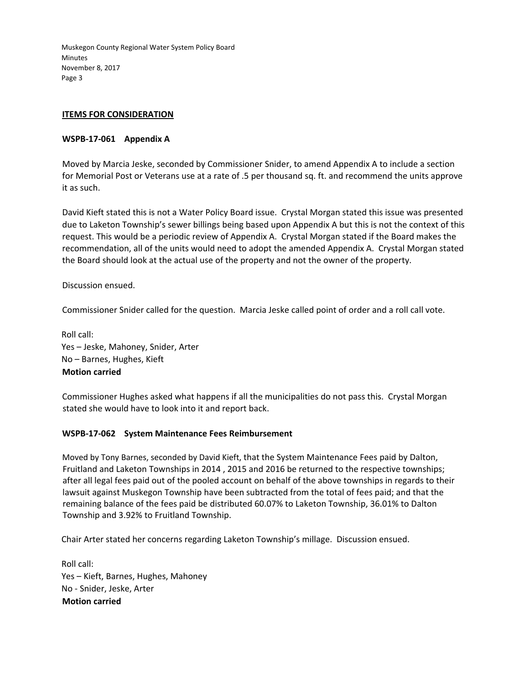### **ITEMS FOR CONSIDERATION**

### **WSPB‐17‐061 Appendix A**

Moved by Marcia Jeske, seconded by Commissioner Snider, to amend Appendix A to include a section for Memorial Post or Veterans use at a rate of .5 per thousand sq. ft. and recommend the units approve it as such.

David Kieft stated this is not a Water Policy Board issue. Crystal Morgan stated this issue was presented due to Laketon Township's sewer billings being based upon Appendix A but this is not the context of this request. This would be a periodic review of Appendix A. Crystal Morgan stated if the Board makes the recommendation, all of the units would need to adopt the amended Appendix A. Crystal Morgan stated the Board should look at the actual use of the property and not the owner of the property.

Discussion ensued.

Commissioner Snider called for the question. Marcia Jeske called point of order and a roll call vote.

Roll call: Yes – Jeske, Mahoney, Snider, Arter No – Barnes, Hughes, Kieft **Motion carried**

Commissioner Hughes asked what happens if all the municipalities do not pass this. Crystal Morgan stated she would have to look into it and report back.

### **WSPB‐17‐062 System Maintenance Fees Reimbursement**

Moved by Tony Barnes, seconded by David Kieft, that the System Maintenance Fees paid by Dalton, Fruitland and Laketon Townships in 2014 , 2015 and 2016 be returned to the respective townships; after all legal fees paid out of the pooled account on behalf of the above townships in regards to their lawsuit against Muskegon Township have been subtracted from the total of fees paid; and that the remaining balance of the fees paid be distributed 60.07% to Laketon Township, 36.01% to Dalton Township and 3.92% to Fruitland Township.

Chair Arter stated her concerns regarding Laketon Township's millage. Discussion ensued.

Roll call: Yes – Kieft, Barnes, Hughes, Mahoney No ‐ Snider, Jeske, Arter **Motion carried**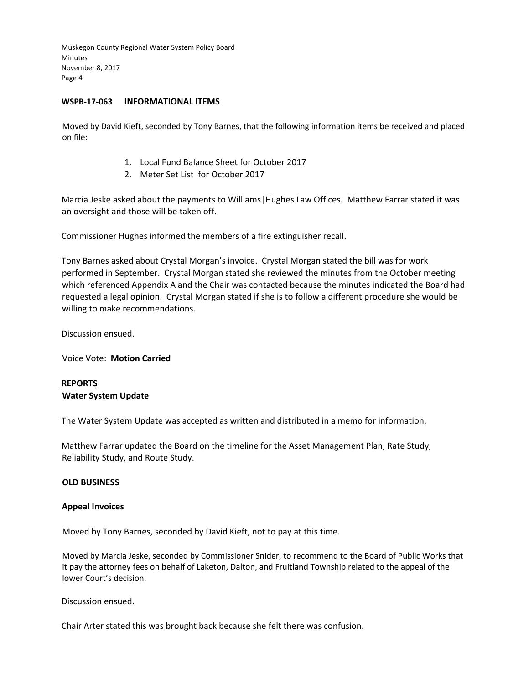### **WSPB‐17‐063 INFORMATIONAL ITEMS**

Moved by David Kieft, seconded by Tony Barnes, that the following information items be received and placed on file:

- 1. Local Fund Balance Sheet for October 2017
- 2. Meter Set List for October 2017

Marcia Jeske asked about the payments to Williams|Hughes Law Offices. Matthew Farrar stated it was an oversight and those will be taken off.

Commissioner Hughes informed the members of a fire extinguisher recall.

Tony Barnes asked about Crystal Morgan's invoice. Crystal Morgan stated the bill was for work performed in September. Crystal Morgan stated she reviewed the minutes from the October meeting which referenced Appendix A and the Chair was contacted because the minutes indicated the Board had requested a legal opinion. Crystal Morgan stated if she is to follow a different procedure she would be willing to make recommendations.

Discussion ensued.

Voice Vote: **Motion Carried**

### **REPORTS Water System Update**

The Water System Update was accepted as written and distributed in a memo for information.

Matthew Farrar updated the Board on the timeline for the Asset Management Plan, Rate Study, Reliability Study, and Route Study.

### **OLD BUSINESS**

### **Appeal Invoices**

Moved by Tony Barnes, seconded by David Kieft, not to pay at this time.

Moved by Marcia Jeske, seconded by Commissioner Snider, to recommend to the Board of Public Works that it pay the attorney fees on behalf of Laketon, Dalton, and Fruitland Township related to the appeal of the lower Court's decision.

Discussion ensued.

Chair Arter stated this was brought back because she felt there was confusion.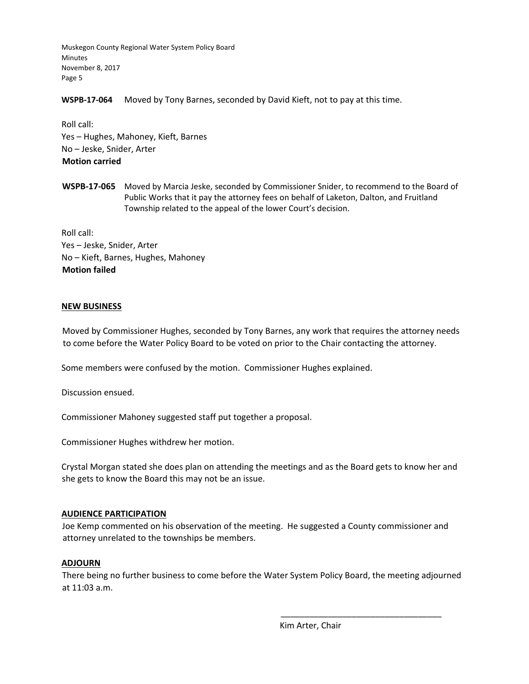**WSPB‐17‐064** Moved by Tony Barnes, seconded by David Kieft, not to pay at this time.

Roll call: Yes – Hughes, Mahoney, Kieft, Barnes No – Jeske, Snider, Arter **Motion carried**

**WSPB‐17‐065** Moved by Marcia Jeske, seconded by Commissioner Snider, to recommend to the Board of Public Works that it pay the attorney fees on behalf of Laketon, Dalton, and Fruitland Township related to the appeal of the lower Court's decision.

Roll call: Yes – Jeske, Snider, Arter No – Kieft, Barnes, Hughes, Mahoney **Motion failed**

### **NEW BUSINESS**

Moved by Commissioner Hughes, seconded by Tony Barnes, any work that requires the attorney needs to come before the Water Policy Board to be voted on prior to the Chair contacting the attorney.

Some members were confused by the motion. Commissioner Hughes explained.

Discussion ensued.

Commissioner Mahoney suggested staff put together a proposal.

Commissioner Hughes withdrew her motion.

Crystal Morgan stated she does plan on attending the meetings and as the Board gets to know her and she gets to know the Board this may not be an issue.

### **AUDIENCE PARTICIPATION**

Joe Kemp commented on his observation of the meeting. He suggested a County commissioner and attorney unrelated to the townships be members.

### **ADJOURN**

There being no further business to come before the Water System Policy Board, the meeting adjourned at 11:03 a.m.

Kim Arter, Chair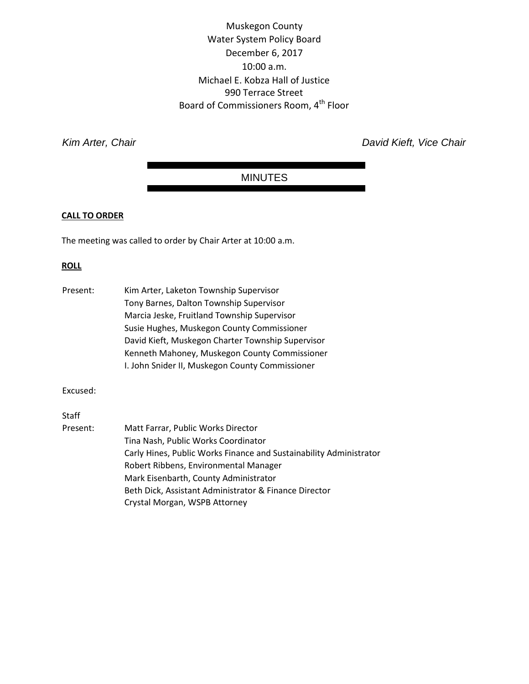Muskegon County Water System Policy Board December 6, 2017 10:00 a.m. Michael E. Kobza Hall of Justice 990 Terrace Street Board of Commissioners Room, 4<sup>th</sup> Floor

**Kim Arter, Chair** *Kim Arter, Chair Chair David Kieft, Vice Chair David Kieft, Vice Chair* 

## MINUTES

### **CALL TO ORDER**

The meeting was called to order by Chair Arter at 10:00 a.m.

### **ROLL**

| Present: | Kim Arter, Laketon Township Supervisor<br>Tony Barnes, Dalton Township Supervisor<br>Marcia Jeske, Fruitland Township Supervisor<br>Susie Hughes, Muskegon County Commissioner<br>David Kieft, Muskegon Charter Township Supervisor<br>Kenneth Mahoney, Muskegon County Commissioner<br>I. John Snider II, Muskegon County Commissioner |
|----------|-----------------------------------------------------------------------------------------------------------------------------------------------------------------------------------------------------------------------------------------------------------------------------------------------------------------------------------------|
|          |                                                                                                                                                                                                                                                                                                                                         |
| Excused: |                                                                                                                                                                                                                                                                                                                                         |
| Staff    |                                                                                                                                                                                                                                                                                                                                         |
| Present: | Matt Farrar, Public Works Director                                                                                                                                                                                                                                                                                                      |
|          | Tina Nash, Public Works Coordinator                                                                                                                                                                                                                                                                                                     |
|          | Carly Hines, Public Works Finance and Sustainability Administrator                                                                                                                                                                                                                                                                      |
|          | Robert Ribbens, Environmental Manager                                                                                                                                                                                                                                                                                                   |
|          | Mark Eisenbarth, County Administrator                                                                                                                                                                                                                                                                                                   |
|          | Beth Dick, Assistant Administrator & Finance Director                                                                                                                                                                                                                                                                                   |
|          | Crystal Morgan, WSPB Attorney                                                                                                                                                                                                                                                                                                           |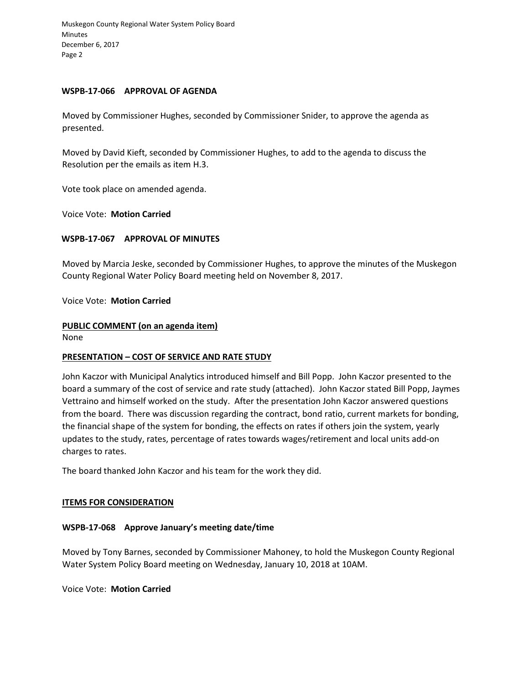### **WSPB-17-066 APPROVAL OF AGENDA**

Moved by Commissioner Hughes, seconded by Commissioner Snider, to approve the agenda as presented.

Moved by David Kieft, seconded by Commissioner Hughes, to add to the agenda to discuss the Resolution per the emails as item H.3.

Vote took place on amended agenda.

Voice Vote: **Motion Carried** 

### **WSPB-17-067 APPROVAL OF MINUTES**

Moved by Marcia Jeske, seconded by Commissioner Hughes, to approve the minutes of the Muskegon County Regional Water Policy Board meeting held on November 8, 2017.

### Voice Vote: **Motion Carried**

### **PUBLIC COMMENT (on an agenda item)**

None

### **PRESENTATION – COST OF SERVICE AND RATE STUDY**

John Kaczor with Municipal Analytics introduced himself and Bill Popp. John Kaczor presented to the board a summary of the cost of service and rate study (attached). John Kaczor stated Bill Popp, Jaymes Vettraino and himself worked on the study. After the presentation John Kaczor answered questions from the board. There was discussion regarding the contract, bond ratio, current markets for bonding, the financial shape of the system for bonding, the effects on rates if others join the system, yearly updates to the study, rates, percentage of rates towards wages/retirement and local units add-on charges to rates.

The board thanked John Kaczor and his team for the work they did.

### **ITEMS FOR CONSIDERATION**

### **WSPB-17-068 Approve January's meeting date/time**

Moved by Tony Barnes, seconded by Commissioner Mahoney, to hold the Muskegon County Regional Water System Policy Board meeting on Wednesday, January 10, 2018 at 10AM.

Voice Vote: **Motion Carried**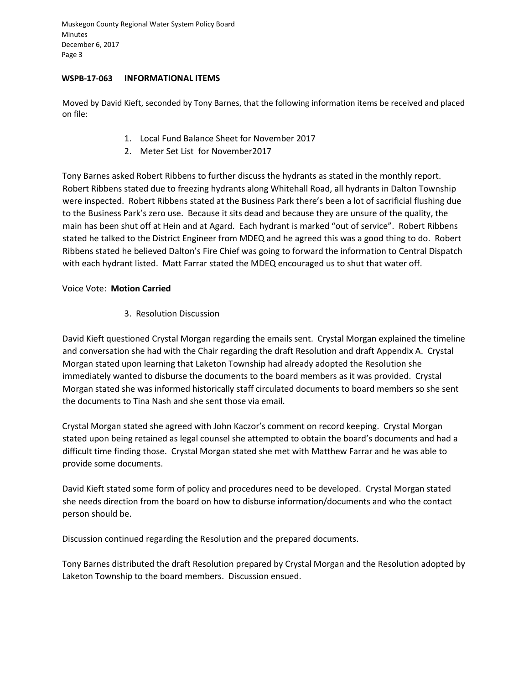### **WSPB-17-063 INFORMATIONAL ITEMS**

Moved by David Kieft, seconded by Tony Barnes, that the following information items be received and placed on file:

- 1. Local Fund Balance Sheet for November 2017
- 2. Meter Set List for November2017

Tony Barnes asked Robert Ribbens to further discuss the hydrants as stated in the monthly report. Robert Ribbens stated due to freezing hydrants along Whitehall Road, all hydrants in Dalton Township were inspected. Robert Ribbens stated at the Business Park there's been a lot of sacrificial flushing due to the Business Park's zero use. Because it sits dead and because they are unsure of the quality, the main has been shut off at Hein and at Agard. Each hydrant is marked "out of service". Robert Ribbens stated he talked to the District Engineer from MDEQ and he agreed this was a good thing to do. Robert Ribbens stated he believed Dalton's Fire Chief was going to forward the information to Central Dispatch with each hydrant listed. Matt Farrar stated the MDEQ encouraged us to shut that water off.

### Voice Vote: **Motion Carried**

3. Resolution Discussion

David Kieft questioned Crystal Morgan regarding the emails sent. Crystal Morgan explained the timeline and conversation she had with the Chair regarding the draft Resolution and draft Appendix A. Crystal Morgan stated upon learning that Laketon Township had already adopted the Resolution she immediately wanted to disburse the documents to the board members as it was provided. Crystal Morgan stated she was informed historically staff circulated documents to board members so she sent the documents to Tina Nash and she sent those via email.

Crystal Morgan stated she agreed with John Kaczor's comment on record keeping. Crystal Morgan stated upon being retained as legal counsel she attempted to obtain the board's documents and had a difficult time finding those. Crystal Morgan stated she met with Matthew Farrar and he was able to provide some documents.

David Kieft stated some form of policy and procedures need to be developed. Crystal Morgan stated she needs direction from the board on how to disburse information/documents and who the contact person should be.

Discussion continued regarding the Resolution and the prepared documents.

Tony Barnes distributed the draft Resolution prepared by Crystal Morgan and the Resolution adopted by Laketon Township to the board members. Discussion ensued.